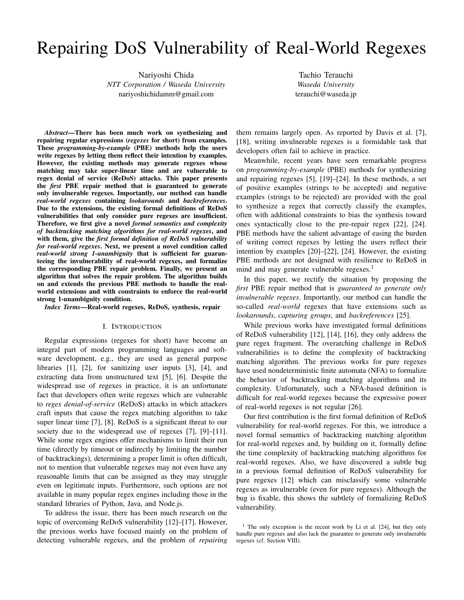# Repairing DoS Vulnerability of Real-World Regexes

Nariyoshi Chida *NTT Corporation / Waseda University* nariyoshichidamm@gmail.com

Tachio Terauchi *Waseda University* terauchi@waseda.jp

*Abstract*—There has been much work on synthesizing and repairing regular expressions (*regexes* for short) from examples. These *programming-by-example* (PBE) methods help the users write regexes by letting them reflect their intention by examples. However, the existing methods may generate regexes whose matching may take super-linear time and are vulnerable to regex denial of service (ReDoS) attacks. This paper presents the *first* PBE repair method that is guaranteed to generate only invulnerable regexes. Importantly, our method can handle *real-world regexes* containing *lookarounds* and *backreferences*. Due to the extensions, the existing formal definitions of ReDoS vulnerabilities that only consider pure regexes are insufficient. Therefore, we first give a novel *formal semantics and complexity of backtracking matching algorithms for real-world regexes*, and with them, give the *first formal definition of ReDoS vulnerability for real-world regexes*. Next, we present a novel condition called *real-world strong 1-unambiguity* that is sufficient for guaranteeing the invulnerability of real-world regexes, and formalize the corresponding PBE repair problem. Finally, we present an algorithm that solves the repair problem. The algorithm builds on and extends the previous PBE methods to handle the realworld extensions and with constraints to enforce the real-world strong 1-unambiguity condition.

*Index Terms*—Real-world regexes, ReDoS, synthesis, repair

## I. INTRODUCTION

Regular expressions (regexes for short) have become an integral part of modern programming languages and software development, e.g., they are used as general purpose libraries [1], [2], for sanitizing user inputs [3], [4], and extracting data from unstructured text [5], [6]. Despite the widespread use of regexes in practice, it is an unfortunate fact that developers often write regexes which are vulnerable to *regex denial-of-service* (ReDoS) attacks in which attackers craft inputs that cause the regex matching algorithm to take super linear time [7], [8]. ReDoS is a significant threat to our society due to the widespread use of regexes [7], [9]–[11]. While some regex engines offer mechanisms to limit their run time (directly by timeout or indirectly by limiting the number of backtrackings), determining a proper limit is often difficult, not to mention that vulnerable regexes may not even have any reasonable limits that can be assigned as they may struggle even on legitimate inputs. Furthermore, such options are not available in many popular regex engines including those in the standard libraries of Python, Java, and Node.js.

To address the issue, there has been much research on the topic of overcoming ReDoS vulnerability [12]–[17]. However, the previous works have focused mainly on the problem of detecting vulnerable regexes, and the problem of *repairing*

them remains largely open. As reported by Davis et al. [7], [18], writing invulnerable regexes is a formidable task that developers often fail to achieve in practice.

Meanwhile, recent years have seen remarkable progress on *programming-by-example* (PBE) methods for synthesizing and repairing regexes [5], [19]–[24]. In these methods, a set of positive examples (strings to be accepted) and negative examples (strings to be rejected) are provided with the goal to synthesize a regex that correctly classify the examples, often with additional constraints to bias the synthesis toward ones syntactically close to the pre-repair regex [22], [24]. PBE methods have the salient advantage of easing the burden of writing correct regexes by letting the users reflect their intention by examples [20]–[22], [24]. However, the existing PBE methods are not designed with resilience to ReDoS in mind and may generate vulnerable regexes.<sup>1</sup>

In this paper, we rectify the situation by proposing the *first* PBE repair method that is *guaranteed to generate only invulnerable regexes*. Importantly, our method can handle the so-called *real-world* regexes that have extensions such as *lookarounds*, *capturing groups*, and *backreferences* [25].

While previous works have investigated formal definitions of ReDoS vulnerability [12], [14], [16], they only address the pure regex fragment. The overarching challenge in ReDoS vulnerabilities is to define the complexity of backtracking matching algorithm. The previous works for pure regexes have used nondeterministic finite automata (NFA) to formalize the behavior of backtracking matching algorithms and its complexity. Unfortunately, such a NFA-based definition is difficult for real-world regexes because the expressive power of real-world regexes is not regular [26].

Our first contribution is the first formal definition of ReDoS vulnerability for real-world regexes. For this, we introduce a novel formal semantics of backtracking matching algorithm for real-world regexes and, by building on it, formally define the time complexity of backtracking matching algorithms for real-world regexes. Also, we have discovered a subtle bug in a previous formal definition of ReDoS vulnerability for pure regexes [12] which can misclassify some vulnerable regexes as invulnerable (even for pure regexes). Although the bug is fixable, this shows the subtlety of formalizing ReDoS vulnerability.

<sup>&</sup>lt;sup>1</sup> The only exception is the recent work by Li et al. [24], but they only handle pure regexes and also lack the guarantee to generate only invulnerable regexes (cf. Section VIII).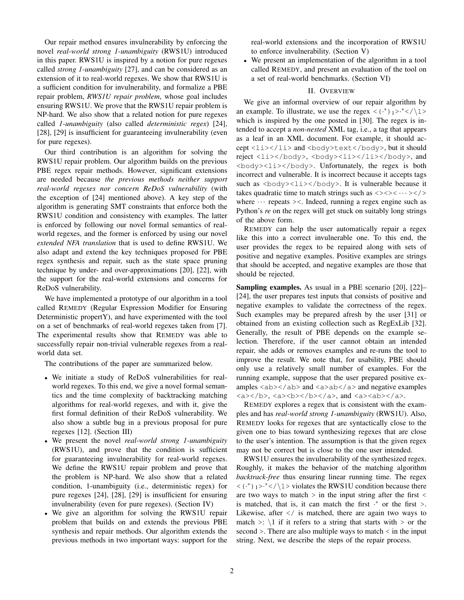Our repair method ensures invulnerability by enforcing the novel *real-world strong 1-unambiguity* (RWS1U) introduced in this paper. RWS1U is inspired by a notion for pure regexes called *strong 1-unambiguity* [27], and can be considered as an extension of it to real-world regexes. We show that RWS1U is a sufficient condition for invulnerability, and formalize a PBE repair problem, *RWS1U repair problem*, whose goal includes ensuring RWS1U. We prove that the RWS1U repair problem is NP-hard. We also show that a related notion for pure regexes called *1-unambiguity* (also called *deterministic regex*) [24], [28], [29] is insufficient for guaranteeing invulnerability (even for pure regexes).

Our third contribution is an algorithm for solving the RWS1U repair problem. Our algorithm builds on the previous PBE regex repair methods. However, significant extensions are needed because *the previous methods neither support real-world regexes nor concern ReDoS vulnerability* (with the exception of [24] mentioned above). A key step of the algorithm is generating SMT constraints that enforce both the RWS1U condition and consistency with examples. The latter is enforced by following our novel formal semantics of realworld regexes, and the former is enforced by using our novel *extended NFA translation* that is used to define RWS1U. We also adapt and extend the key techniques proposed for PBE regex synthesis and repair, such as the state space pruning technique by under- and over-approximations [20], [22], with the support for the real-world extensions and concerns for ReDoS vulnerability.

We have implemented a prototype of our algorithm in a tool called REMEDY (Regular Expression Modifier for Ensuring Deterministic propertY), and have experimented with the tool on a set of benchmarks of real-world regexes taken from [7]. The experimental results show that REMEDY was able to successfully repair non-trivial vulnerable regexes from a realworld data set.

The contributions of the paper are summarized below.

- We initiate a study of ReDoS vulnerabilities for realworld regexes. To this end, we give a novel formal semantics and the time complexity of backtracking matching algorithms for real-world regexes, and with it, give the first formal definition of their ReDoS vulnerability. We also show a subtle bug in a previous proposal for pure regexes [12]. (Section III)
- We present the novel *real-world strong 1-unambiguity* (RWS1U), and prove that the condition is sufficient for guaranteeing invulnerability for real-world regexes. We define the RWS1U repair problem and prove that the problem is NP-hard. We also show that a related condition, 1-unambiguity (i.e., deterministic regex) for pure regexes [24], [28], [29] is insufficient for ensuring invulnerability (even for pure regexes). (Section IV)
- We give an algorithm for solving the RWS1U repair problem that builds on and extends the previous PBE synthesis and repair methods. Our algorithm extends the previous methods in two important ways: support for the

real-world extensions and the incorporation of RWS1U to enforce invulnerability. (Section V)

• We present an implementation of the algorithm in a tool called REMEDY, and present an evaluation of the tool on a set of real-world benchmarks. (Section VI)

# II. OVERVIEW

We give an informal overview of our repair algorithm by an example. To illustrate, we use the regex  $\langle \cdot^* \rangle_1$  $>$  $\cdot^*$  $\langle \cdot \rangle_1$ which is inspired by the one posted in [30]. The regex is intended to accept a *non-nested* XML tag, i.e., a tag that appears as a leaf in an XML document. For example, it should accept  $\langle$ li $\rangle$ </li $>$  and  $\langle$ body $\rangle$ text $\langle$ /body $\rangle$ , but it should reject <li></body>, <br/> <br/>body><li></li></body>, and  $\langle \text{body}\rangle \langle 1\text{i}\rangle \langle \text{body}\rangle$ . Unfortunately, the regex is both incorrect and vulnerable. It is incorrect because it accepts tags such as  $\langle \text{body}\rangle \langle 1\text{i}\rangle \langle \text{body}\rangle$ . It is vulnerable because it takes quadratic time to match strings such as  $\langle \rangle \langle \rangle \langle \rangle$ where  $\cdots$  repeats  $\ge$  Indeed, running a regex engine such as Python's *re* on the regex will get stuck on suitably long strings of the above form.

REMEDY can help the user automatically repair a regex like this into a correct invulnerable one. To this end, the user provides the regex to be repaired along with sets of positive and negative examples. Positive examples are strings that should be accepted, and negative examples are those that should be rejected.

Sampling examples. As usual in a PBE scenario [20], [22]– [24], the user prepares test inputs that consists of positive and negative examples to validate the correctness of the regex. Such examples may be prepared afresh by the user [31] or obtained from an existing collection such as RegExLib [32]. Generally, the result of PBE depends on the example selection. Therefore, if the user cannot obtain an intended repair, she adds or removes examples and re-runs the tool to improve the result. We note that, for usability, PBE should only use a relatively small number of examples. For the running example, suppose that the user prepared positive examples  $\langle ab \rangle \langle ab \rangle$  and  $\langle a \rangle ab \langle ab \rangle$  and negative examples <a>>>>>>, <a>>>>>>></b>></a>></a>. and <a><ab></a>.

REMEDY explores a regex that is consistent with the examples and has *real-world strong 1-unambiguity* (RWS1U). Also, REMEDY looks for regexes that are syntactically close to the given one to bias toward synthesizing regexes that are close to the user's intention. The assumption is that the given regex may not be correct but is close to the one user intended.

RWS1U ensures the invulnerability of the synthesized regex. Roughly, it makes the behavior of the matching algorithm *backtrack-free* thus ensuring linear running time. The regex  $\langle \cdot^* \rangle_1$ > $\cdot^*$  </\1> violates the RWS1U condition because there are two ways to match  $>$  in the input string after the first  $<$ is matched, that is, it can match the first  $\cdot$  or the first >. Likewise, after  $\langle \rangle$  is matched, there are again two ways to match  $\ge$ :  $\setminus$ 1 if it refers to a string that starts with  $\ge$  or the second >. There are also multiple ways to match < in the input string. Next, we describe the steps of the repair process.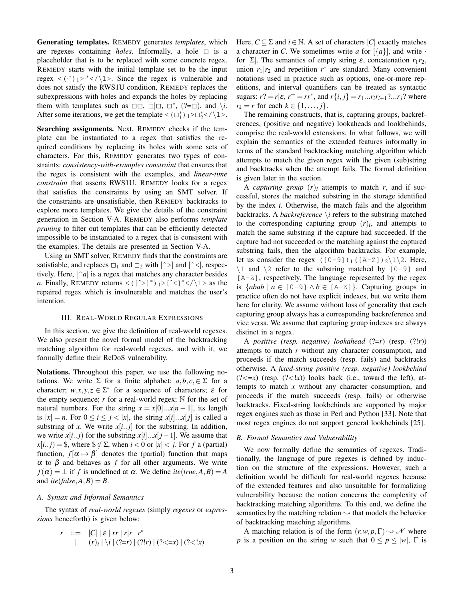Generating templates. REMEDY generates *templates*, which are regexes containing *holes*. Informally, a hole  $\Box$  is a placeholder that is to be replaced with some concrete regex. REMEDY starts with the initial template set to be the input regex  $\langle \cdot^* \rangle_1$ > $\cdot^*$  $\langle \cdot \rangle_1$ >. Since the regex is vulnerable and does not satisfy the RWS1U condition, REMEDY replaces the subexpressions with holes and expands the holes by replacing them with templates such as  $\square \square$ ,  $\square \square$ ,  $\square^*$ ,  $(?=\square)$ , and  $\setminus i$ . After some iterations, we get the template <  $(\Box_1^*)_1 > \Box_2^*$  <  $\setminus$  1>.

Searching assignments. Next, REMEDY checks if the template can be instantiated to a regex that satisfies the required conditions by replacing its holes with some sets of characters. For this, REMEDY generates two types of constraints: *consistency-with-examples constraint* that ensures that the regex is consistent with the examples, and *linear-time constraint* that asserts RWS1U. REMEDY looks for a regex that satisfies the constraints by using an SMT solver. If the constraints are unsatisfiable, then REMEDY backtracks to explore more templates. We give the details of the constraint generation in Section V-A. REMEDY also performs *template pruning* to filter out templates that can be efficiently detected impossible to be instantiated to a regex that is consistent with the examples. The details are presented in Section V-A.

Using an SMT solver, REMEDY finds that the constraints are satisfiable, and replaces  $\square_1$  and  $\square_2$  with  $\lceil \sim \rceil$  and  $\lceil \sim \rceil$ , respectively. Here, [ˆ*a*] is a regex that matches any character besides *a*. Finally, REMEDY returns <( $[^{\sim}]^*$ )<sub>1</sub>> $[^{\sim}]^*$  </\1> as the repaired regex which is invulnerable and matches the user's intention.

## III. REAL-WORLD REGULAR EXPRESSIONS

In this section, we give the definition of real-world regexes. We also present the novel formal model of the backtracking matching algorithm for real-world regexes, and with it, we formally define their ReDoS vulnerability.

Notations. Throughout this paper, we use the following notations. We write  $\Sigma$  for a finite alphabet;  $a, b, c \in \Sigma$  for a character;  $w, x, y, z \in \Sigma^*$  for a sequence of characters;  $\varepsilon$  for the empty sequence;  $r$  for a real-world regex;  $N$  for the set of natural numbers. For the string  $x = x[0]...x[n-1]$ , its length is  $|x| = n$ . For  $0 \le i \le j \le |x|$ , the string  $x[i] \dots x[i]$  is called a substring of *x*. We write  $x[i..j]$  for the substring. In addition, we write  $x[i..j]$  for the substring  $x[i]...x[j-1]$ . We assume that  $x[i.. j] = $$ , where  $$ \notin \Sigma$ , when  $i < 0$  or  $|x| < j$ . For *f* a (partial) function,  $f[\alpha \mapsto \beta]$  denotes the (partial) function that maps α to β and behaves as *f* for all other arguments. We write  $f(\alpha) = \perp$  *if f* is undefined at  $\alpha$ . We define *ite*(*true*,*A*,*B*) = *A* and  $ite(false, A, B) = B$ .

#### *A. Syntax and Informal Semantics*

The syntax of *real-world regexes* (simply *regexes* or *expressions* henceforth) is given below:

$$
r ::= [C] | \varepsilon | rr | r|r | r^* | (r)_i | \langle i | (?=r) | (?!r) | (?<=x) | (?<=x)
$$

Here,  $C \subseteq \Sigma$  and  $i \in \mathbb{N}$ . A set of characters  $[C]$  exactly matches a character in *C*. We sometimes write *a* for  $\{a\}$ , and write  $\cdot$ for  $[\Sigma]$ . The semantics of empty string  $\varepsilon$ , concatenation  $r_1r_2$ , union  $r_1 | r_2$  and repetition  $r^*$  are standard. Many convenient notations used in practice such as options, one-or-more repetitions, and interval quantifiers can be treated as syntactic sugars:  $r$ ? =  $r | \varepsilon, r^+ = rr^*$ , and  $r \{i, j\} = r_1 ... r_i r_{i+1} ? ... r_j$ ? where *r*<sub>*k*</sub> = *r* for each  $k \in \{1, ..., j\}$ .

The remaining constructs, that is, capturing groups, backreferences, (positive and negative) lookaheads and lookbehinds, comprise the real-world extensions. In what follows, we will explain the semantics of the extended features informally in terms of the standard backtracking matching algorithm which attempts to match the given regex with the given (sub)string and backtracks when the attempt fails. The formal definition is given later in the section.

A *capturing group*  $(r)$ *i* attempts to match *r*, and if successful, stores the matched substring in the storage identified by the index *i*. Otherwise, the match fails and the algorithm backtracks. A *backreference* \*i* refers to the substring matched to the corresponding capturing group  $(r)$ <sup>*i*</sup>, and attempts to match the same substring if the capture had succeeded. If the capture had not succeeded or the matching against the captured substring fails, then the algorithm backtracks. For example, let us consider the regex  $([0-9])_1([A-Z])_2\1\2$ . Here,  $\1$  and  $\2$  refer to the substring matched by  $[0-9]$  and [A-Z], respectively. The language represented by the regex is  ${abab \mid a \in [0-9] \land b \in [A-Z]}$ . Capturing groups in practice often do not have explicit indexes, but we write them here for clarity. We assume without loss of generality that each capturing group always has a corresponding backreference and vice versa. We assume that capturing group indexes are always distinct in a regex.

A *positive (resp. negative) lookahead* (?=*r*) (resp. (?!*r*)) attempts to match *r* without any character consumption, and proceeds if the match succeeds (resp. fails) and backtracks otherwise. A *fixed-string positive (resp. negative) lookbehind*  $($ ?< $=x$  $)$  (resp.  $($ ?< $|x$  $)$ ) looks back (i.e., toward the left), attempts to match  $x$  without any character consumption, and proceeds if the match succeeds (resp. fails) or otherwise backtracks. Fixed-string lookbehinds are supported by major regex engines such as those in Perl and Python [33]. Note that most regex engines do not support general lookbehinds [25].

## *B. Formal Semantics and Vulnerability*

We now formally define the semantics of regexes. Traditionally, the language of pure regexes is defined by induction on the structure of the expressions. However, such a definition would be difficult for real-world regexes because of the extended features and also unsuitable for formalizing vulnerability because the notion concerns the complexity of backtracking matching algorithms. To this end, we define the semantics by the matching relation  $\sim$  that models the behavior of backtracking matching algorithms.

A matching relation is of the form  $(r, w, p, \Gamma) \sim \mathcal{N}$  where *p* is a position on the string *w* such that  $0 \le p \le |w|$ ,  $\Gamma$  is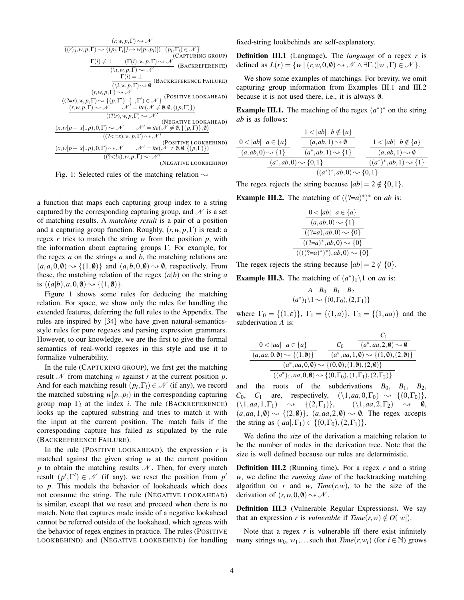$$
(r, w, p, \Gamma) \sim \mathcal{N}
$$
  
\n
$$
\frac{\Gamma(i) \neq \bot \quad (\Gamma(j, w, p, \Gamma) \sim \mathcal{N})}{(\lambda, w, p, \Gamma) \sim \mathcal{N}} \quad \text{(CAPTURING GROUP)}
$$
\n
$$
\frac{\Gamma(i) \neq \bot \quad (\Gamma(i), w, p, \Gamma) \sim \mathcal{N}}{(\lambda, w, p, \Gamma) \sim \mathcal{N}} \quad \text{(BACKREFERENCE)}
$$
\n
$$
\frac{\Gamma(i) = \bot}{(\lambda, w, p, \Gamma) \sim \mathcal{N}} \quad \text{(BACKREFERENCE FAILURE)}
$$
\n
$$
\frac{(r, w, p, \Gamma) \sim \mathcal{N}}{((2=r), w, p, \Gamma) \sim \mathcal{N}} \quad \text{(POSTIVE LOOKAHEAD)}
$$
\n
$$
\frac{(r, w, p, \Gamma) \sim \mathcal{N} \quad \mathcal{N}' = \text{ite}(\mathcal{N} \neq \emptyset, \emptyset, \{p, \Gamma\})}{(\text{?!r}), w, p, \Gamma) \sim \mathcal{N}' \quad \text{(NEGATIVE LOOKAHEAD)}
$$
\n
$$
\frac{(x, w[p-|x|..p), 0, \Gamma) \sim \mathcal{N} \quad \mathcal{N}' = \text{ite}(\mathcal{N} \neq \emptyset, \{(p, \Gamma)\}, \emptyset)}{(\text{??=x}), w, p, \Gamma) \sim \mathcal{N}' \quad \text{(DOSTIVE LOOKBEHIND)}
$$
\n
$$
\frac{(x, w[p-|x|..p), 0, \Gamma) \sim \mathcal{N} \quad \mathcal{N}' = \text{ite}(\mathcal{N} \neq \emptyset, \emptyset, \{(p, \Gamma)\})}{(\text{(?<1x)}, w, p, \Gamma) \sim \mathcal{N}' \quad \text{(NEGATIVE LOOKBEHIND)}
$$
\n
$$
\frac{(x, w[p-|x|..p), 0, \Gamma) \sim \mathcal{N} \quad \mathcal{N}' = \text{ite}(\mathcal{N} \neq \emptyset, \emptyset, \{(p, \Gamma)\})}{(\text{(?<1x)}, w, p, \Gamma) \sim \mathcal{N}' \quad \text{(NEGATIVE LOOKBEHIND)}
$$

Fig. 1: Selected rules of the matching relation  $\sim$ 

a function that maps each capturing group index to a string captured by the corresponding capturing group, and  $\mathcal N$  is a set of matching results. A *matching result* is a pair of a position and a capturing group function. Roughly, (*r*,*w*, *p*,Γ) is read: a regex *r* tries to match the string *w* from the position *p*, with the information about capturing groups  $\Gamma$ . For example, for the regex *a* on the strings *a* and *b*, the matching relations are  $(a, a, 0, \emptyset) \rightarrow \{(1, \emptyset)\}\$ and  $(a, b, 0, \emptyset) \rightarrow \emptyset$ , respectively. From these, the matching relation of the regex  $(a|b)$  on the string *a* is  $((a|b), a, 0, \emptyset) \rightarrow \{(1, \emptyset)\}.$ 

Figure 1 shows some rules for deducing the matching relation. For space, we show only the rules for handling the extended features, deferring the full rules to the Appendix. The rules are inspired by [34] who have given natural-semanticsstyle rules for pure regexes and parsing expression grammars. However, to our knowledge, we are the first to give the formal semantics of real-world regexes in this style and use it to formalize vulnerability.

In the rule (CAPTURING GROUP), we first get the matching result  $\mathcal N$  from matching *w* against *r* at the current position *p*. And for each matching result  $(p_i, \Gamma_i) \in \mathcal{N}$  (if any), we record the matched substring  $w[p..p_i]$  in the corresponding capturing group map Γ*<sup>i</sup>* at the index *i*. The rule (BACKREFERENCE) looks up the captured substring and tries to match it with the input at the current position. The match fails if the corresponding capture has failed as stipulated by the rule (BACKREFERENCE FAILURE).

In the rule (POSITIVE LOOKAHEAD), the expression  $r$  is matched against the given string *w* at the current position *p* to obtain the matching results  $N$ . Then, for every match result  $(p', \Gamma') \in \mathcal{N}$  (if any), we reset the position from  $p'$ to *p*. This models the behavior of lookaheads which does not consume the string. The rule (NEGATIVE LOOKAHEAD) is similar, except that we reset and proceed when there is no match. Note that captures made inside of a negative lookahead cannot be referred outside of the lookahead, which agrees with the behavior of regex engines in practice. The rules (POSITIVE LOOKBEHIND) and (NEGATIVE LOOKBEHIND) for handling fixed-string lookbehinds are self-explanatory.

Definition III.1 (Language). The *language* of a regex *r* is defined as  $L(r) = \{w \mid (r, w, 0, \emptyset) \sim \mathcal{N} \wedge \exists \Gamma.(|w|, \Gamma) \in \mathcal{N} \}.$ 

We show some examples of matchings. For brevity, we omit capturing group information from Examples III.1 and III.2 because it is not used there, i.e., it is always  $\emptyset$ .

**Example III.1.** The matching of the regex  $(a^*)^*$  on the string *ab* is as follows:

$$
\frac{0 < |ab| \quad a \in \{a\}}{(a, ab, 0) \leadsto \{1\}} \quad \frac{1 < |ab| \quad b \notin \{a\}}{(a, ab, 1) \leadsto \emptyset} \quad \frac{1 < |ab| \quad b \notin \{a\}}{(a^*, ab, 0) \leadsto \{0, 1\}} \quad \frac{1 < |ab| \quad b \notin \{a\}}{(a, ab, 1) \leadsto \emptyset} \quad \frac{(a^*, ab, 0) \leadsto \{0, 1\}}{(a^*)^*, ab, 0) \leadsto \{0, 1\}}
$$

The regex rejects the string because  $|ab| = 2 \notin \{0,1\}.$ 

**Example III.2.** The matching of  $((?=a)^*)^*$  on *ab* is:

$$
\frac{0 < |ab| \ a \in \{a\}}{(a, ab, 0) \sim \{1\}} \frac{(2-a), ab, 0) \sim \{0\}}{((2-a)^*, ab, 0) \sim \{0\}} \frac{(2-a)^*, ab, 0) \sim \{0\}}{(((2-a)^*)^*), ab, 0) \sim \{0\}}
$$

The regex rejects the string because  $|ab| = 2 \notin \{0\}.$ 

**Example III.3.** The matching of  $(a^*)_1 \setminus 1$  on *aa* is:

$$
\frac{A \quad B_0 \quad B_1 \quad B_2}{(a^*)_1 \setminus 1 \rightsquigarrow \{(0, \Gamma_0), (2, \Gamma_1)\}}
$$

where  $\Gamma_0 = \{(1, \varepsilon)\}\,$ ,  $\Gamma_1 = \{(1, a)\}\,$ ,  $\Gamma_2 = \{(1, aa)\}\$  and the subderivation *A* is:

$$
\frac{0 < |aa| \quad a \in \{a\}}{(a, aa, 0, \emptyset) \leadsto \{(1, \emptyset)\}} \quad \frac{C_0}{(a^*, aa, 2, \emptyset) \leadsto \emptyset} \quad \frac{(a^*, aa, 2, \emptyset) \leadsto \emptyset}{(a^*, aa, 1, \emptyset) \leadsto \{(1, \emptyset), (2, \emptyset)\}} \quad \frac{(a^*, aa, 0, \emptyset) \leadsto \{(0, \emptyset), (1, \emptyset), (2, \Gamma_2)\}}{(a^*), a, 0, \emptyset) \leadsto \{(0, \Gamma_0), (1, \Gamma_1), (2, \Gamma_2)\}}
$$

and the roots of the subderivations  $B_0$ ,  $B_1$ ,  $B_2$ , *C*<sub>0</sub>, *C*<sub>1</sub> are, respectively,  $(\{1, aa, 0, \Gamma_0\} \rightarrow \{(0, \Gamma_0)\},\ (\{1, aa, 1, \Gamma_1\} \rightarrow \{(2, \Gamma_1)\}, \ (\{1, aa, 2, \Gamma_2\} \rightarrow \emptyset,$  $(\setminus 1, aa, 1, \Gamma_1) \longrightarrow \{ (2,\Gamma_1) \},$  $(a, aa, 1, \emptyset) \rightarrow \{(2, \emptyset)\}, (a, aa, 2, \emptyset) \rightarrow \emptyset$ . The regex accepts the string as  $(|aa|, \Gamma_1) \in \{(0, \Gamma_0), (2, \Gamma_1)\}.$ 

We define the *size* of the derivation a matching relation to be the number of nodes in the derivation tree. Note that the size is well defined because our rules are deterministic.

Definition III.2 (Running time). For a regex *r* and a string *w*, we define the *running time* of the backtracking matching algorithm on *r* and *w*, *Time*( $r, w$ ), to be the size of the derivation of  $(r, w, 0, \emptyset) \rightarrow \mathcal{N}$ .

Definition III.3 (Vulnerable Regular Expressions). We say that an expression *r* is *vulnerable* if  $Time(r, w) \notin O(|w|)$ .

Note that a regex r is vulnerable iff there exist infinitely many strings  $w_0$ ,  $w_1$ ,... such that  $Time(r, w_i)$  (for  $i \in \mathbb{N}$ ) grows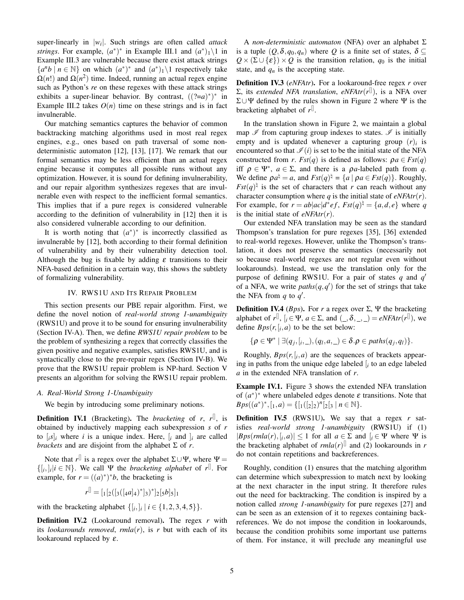super-linearly in |*w<sup>i</sup>* |. Such strings are often called *attack strings*. For example,  $(a^*)^*$  in Example III.1 and  $(a^*)_1 \setminus 1$  in Example III.3 are vulnerable because there exist attack strings  ${a^n b \mid n \in \mathbb{N}}$  on which  $(a^*)^*$  and  $(a^*)_1 \setminus 1$  respectively take  $\Omega(n!)$  and  $\Omega(n^2)$  time. Indeed, running an actual regex engine such as Python's *re* on these regexes with these attack strings exhibits a super-linear behavior. By contrast,  $((?=a)^*)^*$  in Example III.2 takes  $O(n)$  time on these strings and is in fact invulnerable.

Our matching semantics captures the behavior of common backtracking matching algorithms used in most real regex engines, e.g., ones based on path traversal of some nondeterministic automaton [12], [13], [17]. We remark that our formal semantics may be less efficient than an actual regex engine because it computes all possible runs without any optimization. However, it is sound for defining invulnerability, and our repair algorithm synthesizes regexes that are invulnerable even with respect to the inefficient formal semantics. This implies that if a pure regex is considered vulnerable according to the definition of vulnerability in [12] then it is also considered vulnerable according to our definition.

It is worth noting that  $(a^*)^*$  is incorrectly classified as invulnerable by [12], both according to their formal definition of vulnerability and by their vulnerability detection tool. Although the bug is fixable by adding  $\varepsilon$  transitions to their NFA-based definition in a certain way, this shows the subtlety of formalizing vulnerability.

## IV. RWS1U AND ITS REPAIR PROBLEM

This section presents our PBE repair algorithm. First, we define the novel notion of *real-world strong 1-unambiguity* (RWS1U) and prove it to be sound for ensuring invulnerability (Section IV-A). Then, we define *RWS1U repair problem* to be the problem of synthesizing a regex that correctly classifies the given positive and negative examples, satisfies RWS1U, and is syntactically close to the pre-repair regex (Section IV-B). We prove that the RWS1U repair problem is NP-hard. Section V presents an algorithm for solving the RWS1U repair problem.

# *A. Real-World Strong 1-Unambiguity*

We begin by introducing some preliminary notions.

**Definition IV.1** (Bracketing). The *bracketing* of *r*, *r*<sup>[]</sup>, is obtained by inductively mapping each subexpression *s* of *r* to  $[i s]_i$  where *i* is a unique index. Here,  $[i a]_i$  are called *brackets* and are disjoint from the alphabet  $\Sigma$  of *r*.

Note that  $r^{\parallel}$  is a regex over the alphabet  $\Sigma \cup \Psi$ , where  $\Psi =$  $\{ [i, j]_i | i \in \mathbb{N} \}$ . We call  $\Psi$  the *bracketing alphabet* of  $r^{\parallel}$ . For example, for  $r = ((a)^*)^*b$ , the bracketing is

$$
r^{\parallel} = [{}_1[{}_2([{}_3([{}_4a]_4)^*]{}_3)^*]{}_2[{}_5b]{}_5]{}_1
$$

with the bracketing alphabet  $\{ [i, j] \mid i \in \{1, 2, 3, 4, 5\} \}.$ 

Definition IV.2 (Lookaround removal). The regex *r* with its *lookarounds removed*,  $rmla(r)$ , is r but with each of its lookaround replaced by  $\varepsilon$ .

A *non-deterministic automaton* (NFA) over an alphabet Σ is a tuple  $(Q, \delta, q_0, q_n)$  where  $Q$  is a finite set of states,  $\delta \subseteq$  $Q \times (\Sigma \cup \{\varepsilon\}) \times Q$  is the transition relation,  $q_0$  is the initial state, and  $q_n$  is the accepting state.

Definition IV.3 (*eNFAtr*). For a lookaround-free regex *r* over Σ, its *extended NFA translation*, *eNFAtr*(*r* []), is a NFA over Σ∪Ψ defined by the rules shown in Figure 2 where Ψ is the bracketing alphabet of  $r^{\parallel}$ .

In the translation shown in Figure 2, we maintain a global map  $\mathscr I$  from capturing group indexes to states.  $\mathscr I$  is initially empty and is updated whenever a capturing group  $(r)$ *i* is encountered so that  $\mathcal{I}(i)$  is set to be the initial state of the NFA constructed from *r*.  $Fst(q)$  is defined as follows:  $qa \in Fst(q)$ iff  $\rho \in \Psi^*$ ,  $a \in \Sigma$ , and there is a  $\rho a$ -labeled path from q. We define  $\rho a^{\dagger} = a$ , and  $Fst(q)^{\dagger} = \{a \mid \rho a \in Fst(q)\}\.$  Roughly,  $Fst(q)$ <sup> $\sharp$ </sup> is the set of characters that *r* can reach without any character consumption where  $q$  is the initial state of  $e$ *NFAtr*(*r*). For example, for  $r = ab|ac|d^*ef$ ,  $Fst(q)^{\dagger} = \{a,d,e\}$  where *q* is the initial state of *eNFAtr*(*r*).

Our extended NFA translation may be seen as the standard Thompson's translation for pure regexes [35], [36] extended to real-world regexes. However, unlike the Thompson's translation, it does not preserve the semantics (necessarily not so because real-world regexes are not regular even without lookarounds). Instead, we use the translation only for the purpose of defining RWS1U. For a pair of states *q* and *q* ′ of a NFA, we write  $paths(q, q')$  for the set of strings that take the NFA from  $q$  to  $q'$ .

**Definition IV.4** (*Bps*). For *r* a regex over  $\Sigma$ ,  $\Psi$  the bracketing alphabet of  $r^{\parallel}$ ,  $[i \in \Psi, a \in \Sigma$ , and  $( \_ , \delta, \_ , \_ ) = eNFAtr(r^{\parallel}),$  we define  $Bps(r, [i, a]$  to be the set below:

$$
\{\rho \in \Psi^* \mid \exists (q_j, [i, \_), (q_l, a, \_) \in \delta.\rho \in paths(q_j, q_l)\}.
$$

Roughly,  $Bps(r, [i, a)$  are the sequences of brackets appearing in paths from the unique edge labeled [*<sup>i</sup>* to an edge labeled *a* in the extended NFA translation of *r*.

Example IV.1. Figure 3 shows the extended NFA translation of  $(a^*)^*$  where unlabeled edges denote  $\varepsilon$  transitions. Note that *Bps*( $(a^*)^*$ ,  $[1, a) = \{[(1)(2]^2)^n \cdot 2 \cdot 3 \mid n \in \mathbb{N}\}.$ 

Definition IV.5 (RWS1U). We say that a regex *r* satisfies *real-world strong 1-unambiguity* (RWS1U) if (1)  $|Bps(rmla(r), [i, a)] \leq 1$  for all  $a \in \Sigma$  and  $[i \in \Psi$  where  $\Psi$  is the bracketing alphabet of  $rmla(r)^{[]}$  and (2) lookarounds in *r* do not contain repetitions and backreferences.

Roughly, condition (1) ensures that the matching algorithm can determine which subexpression to match next by looking at the next character in the input string. It therefore rules out the need for backtracking. The condition is inspired by a notion called *strong 1-unambiguity* for pure regexes [27] and can be seen as an extension of it to regexes containing backreferences. We do not impose the condition in lookarounds, because the condition prohibits some important use patterns of them. For instance, it will preclude any meaningful use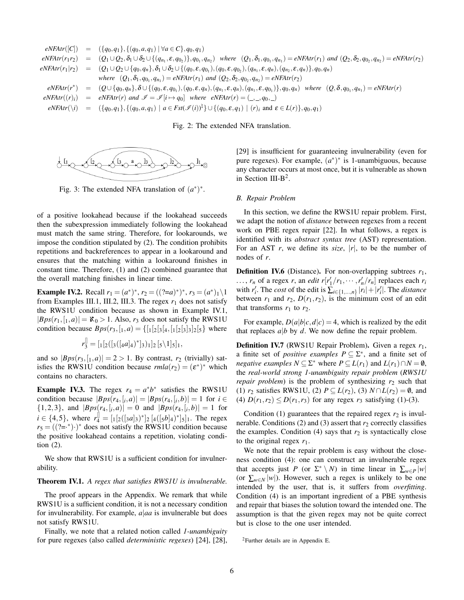$$
eNFArr(r|C) = (\{q_0, q_1\}, \{(q_0, a, q_1) | \forall a \in C\}, q_0, q_1)
$$
\n
$$
eNFArr(r_1r_2) = (Q_1 \cup Q_2, \delta_1 \cup \delta_2 \cup \{(q_{n_1}, \varepsilon, q_{0_2})\}, q_{0_1}, q_{n_2}) \text{ where } (Q_1, \delta_1, q_{0_1}, q_{n_1}) = eNFArr(r_1) \text{ and } (Q_2, \delta_2, q_{0_2}, q_{n_2}) = eNFArr(r_2)
$$
\n
$$
eNFArr(r_1|r_2) = (Q_1 \cup Q_2 \cup \{q_0, q_n\}, \delta_1 \cup \delta_2 \cup \{(q_0, \varepsilon, q_{0_1}), (q_0, \varepsilon, q_{0_2}), (q_{n_1}, \varepsilon, q_n), (q_{n_2}, \varepsilon, q_n)\}, q_0, q_n)
$$
\n
$$
where (Q_1, \delta_1, q_{0_1}, q_{n_1}) = eNFArr(r_1) \text{ and } (Q_2, \delta_2, q_{0_2}, q_{n_2}) = eNFArr(r_2)
$$
\n
$$
eNFArr(r^*) = (Q \cup \{q_0, q_n\}, \delta \cup \{(q_0, \varepsilon, q_{0_1}), (q_0, \varepsilon, q_n), (q_{n_1}, \varepsilon, q_n), (q_{n_1}, \varepsilon, q_0)\}, q_0, q_n) \text{ where } (Q, \delta, q_{0_1}, q_{n_1}) = eNFArr(r)
$$
\n
$$
eNFArr(r) = eNFArr(r) \text{ and } \mathcal{I} = \mathcal{I}[i \mapsto q_0] \text{ where } eNFArr(r) = (-,-, q_0, -)
$$
\n
$$
eNFArr(r) = (\{q_0, q_1\}, \{(q_0, a, q_1) | a \in Fstr(\mathcal{I}(i))^{\dagger}\} \cup \{(q_0, \varepsilon, q_1) | (r)_i \text{ and } \varepsilon \in L(r)\}, q_0, q_1)
$$

Fig. 2: The extended NFA translation.



Fig. 3: The extended NFA translation of  $(a^*)^*$ .

of a positive lookahead because if the lookahead succeeds then the subexpression immediately following the lookahead must match the same string. Therefore, for lookarounds, we impose the condition stipulated by (2). The condition prohibits repetitions and backreferences to appear in a lookaround and ensures that the matching within a lookaround finishes in constant time. Therefore, (1) and (2) combined guarantee that the overall matching finishes in linear time.

**Example IV.2.** Recall  $r_1 = (a^*)^*$ ,  $r_2 = ((?=a)^*)^*$ ,  $r_3 = (a^*)^1$ from Examples III.1, III.2, III.3. The regex  $r_1$  does not satisfy the RWS1U condition because as shown in Example IV.1,  $|Bps(r_1,[1,a)] = \mathfrak{K}_0 > 1$ . Also,  $r_3$  does not satisfy the RWS1U condition because  $Bps(r_3, [1, a) = \{[\frac{1}{2}[3, a, [1, a, a]]^2][5\}$  where

$$
r_3^{\parallel} = [{}_1[{}_2([{}_3([{}_4a]_4)^*]{}_3)_1]{}_2 [{}_5\backslash 1]{}_5]{}_1,
$$

and so  $|Bps(r_3, [1, a)] = 2 > 1$ . By contrast,  $r_2$  (trivially) satisfies the RWS1U condition because  $rmla(r_2) = (\varepsilon^*)^*$  which contains no characters.

**Example IV.3.** The regex  $r_4 = a^*b^*$  satisfies the RWS1U condition because  $|Bps(r_4, [i, a)] = |Bps(r_4, [i, b)] = 1$  for  $i \in$  $\{1,2,3\}$ , and  $|Bps(r_4,[i,a)| = 0$  and  $|Bps(r_4,[i,b)| = 1$  for  $i \in \{4, 5\}$ , where  $r_4^{\parallel} = [1(2([3a]_3)^*]_2 [4([5b]_4)^*]_5]_1$ . The regex  $r_5 = ((2 -^*) \cdot)^*$  does not satisfy the RWS1U condition because the positive lookahead contains a repetition, violating condition (2).

We show that RWS1U is a sufficient condition for invulnerability.

## Theorem IV.1. *A regex that satisfies RWS1U is invulnerable.*

The proof appears in the Appendix. We remark that while RWS1U is a sufficient condition, it is not a necessary condition for invulnerability. For example, *a*|*aa* is invulnerable but does not satisfy RWS1U.

Finally, we note that a related notion called *1-unambiguity* for pure regexes (also called *deterministic regexes*) [24], [28], [29] is insufficient for guaranteeing invulnerability (even for pure regexes). For example,  $(a^*)^*$  is 1-unambiguous, because any character occurs at most once, but it is vulnerable as shown in Section III-B<sup>2</sup>.

## *B. Repair Problem*

In this section, we define the RWS1U repair problem. First, we adapt the notion of *distance* between regexes from a recent work on PBE regex repair [22]. In what follows, a regex is identified with its *abstract syntax tree* (AST) representation. For an AST  $r$ , we define its *size*,  $|r|$ , to be the number of nodes of *r*.

**Definition IV.6** (Distance). For non-overlapping subtrees  $r_1$ , ...,  $r_n$  of a regex *r*, an *edit*  $r[r'_1/r_1, \dots, r'_n/r_n]$  replaces each  $r_i$ with  $r'_i$ . The *cost* of the edit is  $\sum_{i \in \{1, ..., n\}} |r_i| + |r'_i|$ . The *distance* between  $r_1$  and  $r_2$ ,  $D(r_1, r_2)$ , is the minimum cost of an edit that transforms  $r_1$  to  $r_2$ .

For example,  $D(a|b|c, d|c) = 4$ , which is realized by the edit that replaces  $a|b$  by  $d$ . We now define the repair problem.

Definition IV.7 (RWS1U Repair Problem). Given a regex *r*1, a finite set of *positive examples*  $P \subseteq \Sigma^*$ , and a finite set of *negative examples*  $N \subseteq \Sigma^*$  where  $P \subseteq L(r_1)$  and  $L(r_1) \cap N = \emptyset$ , the *real-world strong 1-unambiguity repair problem* (*RWS1U repair problem*) is the problem of synthesizing  $r_2$  such that (1)  $r_2$  satisfies RWS1U, (2)  $P \subseteq L(r_2)$ , (3)  $N \cap L(r_2) = \emptyset$ , and (4)  $D(r_1, r_2) \le D(r_1, r_3)$  for any regex  $r_3$  satisfying (1)-(3).

Condition  $(1)$  guarantees that the repaired regex  $r_2$  is invulnerable. Conditions (2) and (3) assert that  $r_2$  correctly classifies the examples. Condition  $(4)$  says that  $r_2$  is syntactically close to the original regex  $r_1$ .

We note that the repair problem is easy without the closeness condition (4): one can construct an invulnerable regex that accepts just *P* (or  $\Sigma^* \setminus N$ ) in time linear in  $\sum_{w \in P} |w|$ (or  $\sum_{w \in N} |w|$ ). However, such a regex is unlikely to be one intended by the user, that is, it suffers from *overfitting*. Condition (4) is an important ingredient of a PBE synthesis and repair that biases the solution toward the intended one. The assumption is that the given regex may not be quite correct but is close to the one user intended.

<sup>2</sup>Further details are in Appendix E.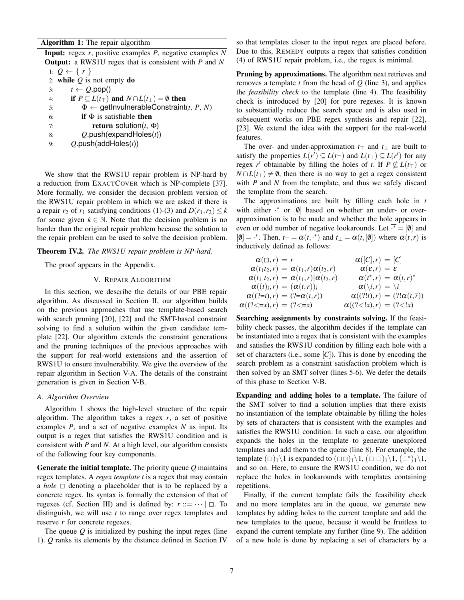# Algorithm 1: The repair algorithm

Input: regex *r*, positive examples *P*, negative examples *N* Output: a RWS1U regex that is consistent with *P* and *N* 1:  $Q \leftarrow \{r\}$ 2: while *Q* is not empty do 3:  $t \leftarrow Q.\text{pop}()$ 4: **if**  $P \subseteq L(t_\top)$  and  $N \cap L(t_\perp) = \emptyset$  then 5:  $\Phi \leftarrow \text{getInvulnerableConstant}(t, P, N)$ 6: **if**  $\Phi$  is satisfiable then 7: **return solution** $(t, \Phi)$ 8: *Q*.push(expandHoles(*t*)) 9: *Q*.push(addHoles(*t*))

We show that the RWS1U repair problem is NP-hard by a reduction from EXACTCOVER which is NP-complete [37]. More formally, we consider the decision problem version of the RWS1U repair problem in which we are asked if there is a repair  $r_2$  of  $r_1$  satisfying conditions (1)-(3) and  $D(r_1, r_2) \leq k$ for some given  $k \in \mathbb{N}$ . Note that the decision problem is no harder than the original repair problem because the solution to the repair problem can be used to solve the decision problem.

Theorem IV.2. *The RWS1U repair problem is NP-hard.*

The proof appears in the Appendix.

# V. REPAIR ALGORITHM

In this section, we describe the details of our PBE repair algorithm. As discussed in Section II, our algorithm builds on the previous approaches that use template-based search with search pruning [20], [22] and the SMT-based constraint solving to find a solution within the given candidate template [22]. Our algorithm extends the constraint generations and the pruning techniques of the previous approaches with the support for real-world extensions and the assertion of RWS1U to ensure invulnerability. We give the overview of the repair algorithm in Section V-A. The details of the constraint generation is given in Section V-B.

## *A. Algorithm Overview*

Algorithm 1 shows the high-level structure of the repair algorithm. The algorithm takes a regex  $r$ , a set of positive examples *P*, and a set of negative examples *N* as input. Its output is a regex that satisfies the RWS1U condition and is consistent with *P* and *N*. At a high level, our algorithm consists of the following four key components.

Generate the initial template. The priority queue *Q* maintains regex templates. A *regex template t* is a regex that may contain a *hole*  $\Box$  denoting a placeholder that is to be replaced by a concrete regex. Its syntax is formally the extension of that of regexes (cf. Section III) and is defined by:  $r ::= \dots \mid \Box$ . To distinguish, we will use *t* to range over regex templates and reserve *r* for concrete regexes.

The queue *Q* is initialized by pushing the input regex (line 1). *Q* ranks its elements by the distance defined in Section IV

so that templates closer to the input regex are placed before. Due to this, REMEDY outputs a regex that satisfies condition (4) of RWS1U repair problem, i.e., the regex is minimal.

Pruning by approximations. The algorithm next retrieves and removes a template *t* from the head of *Q* (line 3), and applies the *feasibility check* to the template (line 4). The feasibility check is introduced by [20] for pure regexes. It is known to substantially reduce the search space and is also used in subsequent works on PBE regex synthesis and repair [22], [23]. We extend the idea with the support for the real-world features.

The over- and under-approximation  $t<sub>T</sub>$  and  $t<sub>T</sub>$  are built to satisfy the properties  $L(r') \subseteq L(t_T)$  and  $L(t_+) \subseteq L(r')$  for any regex *r'* obtainable by filling the holes of *t*. If  $P \nsubseteq L(t_\top)$  or  $N \cap L(t_+) \neq \emptyset$ , then there is no way to get a regex consistent with *P* and *N* from the template, and thus we safely discard the template from the search.

The approximations are built by filling each hole in *t* with either  $\cdot^*$  or  $[0]$  based on whether an under- or overapproximation is to be made and whether the hole appears in even or odd number of negative lookarounds. Let  $\bar{f} = [\emptyset]$  and  $\overline{[0]} =$  \*. Then,  $t_{\top} = \alpha(t, t^*)$  and  $t_{\perp} = \alpha(t, [0])$  where  $\alpha(t, r)$  is inductively defined as follows:

$$
\alpha(\Box, r) = r \qquad \alpha(t_1, r) \alpha(t_2, r) = [\mathcal{C}]
$$
\n
$$
\alpha(t_1t_2, r) = \alpha(t_1, r) \alpha(t_2, r) \qquad \alpha(\varepsilon, r) = \varepsilon
$$
\n
$$
\alpha(t_1|t_2, r) = \alpha(t_1, r) | \alpha(t_2, r) \qquad \alpha(t^*, r) = \alpha(t, r)^*
$$
\n
$$
\alpha((t)_i, r) = (\alpha(t, r))_i \qquad \alpha(\setminus i, r) = \setminus i
$$
\n
$$
\alpha((?=t), r) = (?= \alpha(t, r)) \qquad \alpha((?!t), r) = (?! \alpha(t, \overline{r}))
$$
\n
$$
\alpha((?<=x), r) = (?<=x) \qquad \alpha((?<=x), r) = (?<=x)
$$

Searching assignments by constraints solving. If the feasibility check passes, the algorithm decides if the template can be instantiated into a regex that is consistent with the examples and satisfies the RWS1U condition by filling each hole with a set of characters (i.e., some  $[C]$ ). This is done by encoding the search problem as a constraint satisfaction problem which is then solved by an SMT solver (lines 5-6). We defer the details of this phase to Section V-B.

Expanding and adding holes to a template. The failure of the SMT solver to find a solution implies that there exists no instantiation of the template obtainable by filling the holes by sets of characters that is consistent with the examples and satisfies the RWS1U condition. In such a case, our algorithm expands the holes in the template to generate unexplored templates and add them to the queue (line 8). For example, the template  $(\Box)_1 \setminus 1$  is expanded to  $(\Box \Box)_1 \setminus 1$ ,  $(\Box \Box)_1 \setminus 1$ ,  $(\Box^*)_1 \setminus 1$ , and so on. Here, to ensure the RWS1U condition, we do not replace the holes in lookarounds with templates containing repetitions.

Finally, if the current template fails the feasibility check and no more templates are in the queue, we generate new templates by adding holes to the current template and add the new templates to the queue, because it would be fruitless to expand the current template any further (line 9). The addition of a new hole is done by replacing a set of characters by a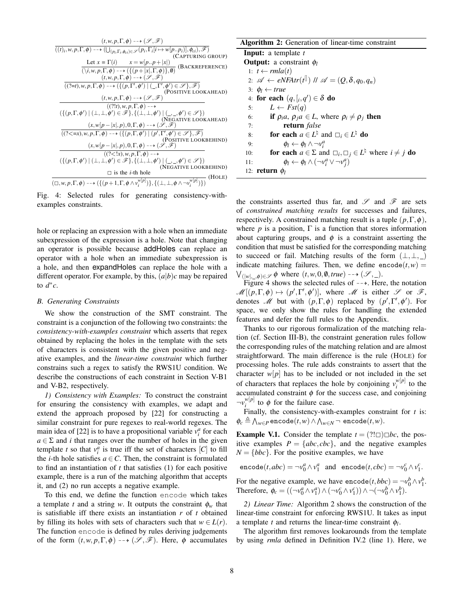Fig. 4: Selected rules for generating consistency-withexamples constraints.

hole or replacing an expression with a hole when an immediate subexpression of the expression is a hole. Note that changing an operator is possible because addHoles can replace an operator with a hole when an immediate subexpression is a hole, and then expandHoles can replace the hole with a different operator. For example, by this,  $(a|b)c$  may be repaired to  $d^*c$ .

#### *B. Generating Constraints*

We show the construction of the SMT constraint. The constraint is a conjunction of the following two constraints: the *consistency-with-examples constraint* which asserts that regex obtained by replacing the holes in the template with the sets of characters is consistent with the given positive and negative examples, and the *linear-time constraint* which further constrains such a regex to satisfy the RWS1U condition. We describe the constructions of each constraint in Section V-B1 and V-B2, respectively.

*1) Consistency with Examples:* To construct the constraint for ensuring the consistency with examples, we adapt and extend the approach proposed by [22] for constructing a similar constraint for pure regexes to real-world regexes. The main idea of [22] is to have a propositional variable  $v_i^a$  for each  $a \in \Sigma$  and *i* that ranges over the number of holes in the given template *t* so that  $v_i^a$  is true iff the set of characters  $[C]$  to fill the *i*-th hole satisfies  $a \in C$ . Then, the constraint is formulated to find an instantiation of *t* that satisfies (1) for each positive example, there is a run of the matching algorithm that accepts it, and (2) no run accepts a negative example.

To this end, we define the function encode which takes a template *t* and a string *w*. It outputs the constraint  $\phi_w$  that is satisfiable iff there exists an instantiation *r* of *t* obtained by filling its holes with sets of characters such that  $w \in L(r)$ . The function encode is defined by rules deriving judgements of the form  $(t, w, p, \Gamma, \phi) \dashrightarrow (\mathscr{S}, \mathscr{F})$ . Here,  $\phi$  accumulates

Algorithm 2: Generation of linear-time constraint

Input: a template *t* Output: a constraint φ*<sup>l</sup>* 1: *t* ←  $rmla(t)$ 2:  $\mathscr{A} \leftarrow eNFAtr(t^{\text{}})/N \mathscr{A} = (Q, \delta, q_0, q_n)$ 3:  $\phi_l \leftarrow true$ 4: for each  $(q, [i, q']) \in \delta$  do 5:  $L \leftarrow Fst(q)$ 6: if  $\rho_i a, \rho_j a \in L$ , where  $\rho_i \neq \rho_j$  then 7: return *false* 8: **for each**  $a \in L^{\natural}$  and  $\Box_i \in L^{\natural}$  do 9:  $\phi_l \leftarrow \phi_l \wedge \neg v_i^a$ 10: **for each**  $a \in \Sigma$  and  $\Box_i, \Box_j \in L^{\natural}$  where  $i \neq j$  do 11:  $\phi_l \leftarrow \phi_l \wedge (\neg v_i^a \vee \neg v_j^a)$ 12: return φ*<sup>l</sup>*

the constraints asserted thus far, and  $\mathscr S$  and  $\mathscr F$  are sets of *constrained matching results* for successes and failures, respectively. A constrained matching result is a tuple  $(p, \Gamma, \phi)$ , where  $p$  is a position,  $\Gamma$  is a function that stores information about capturing groups, and  $\phi$  is a constraint asserting the condition that must be satisfied for the corresponding matching to succeed or fail. Matching results of the form  $(\perp, \perp, \perp)$ indicate matching failures. Then, we define encode $(t, w)$  =  $\bigvee_{(|w|,\_,\phi)\in\mathscr{S}}\phi$  where  $(t, w, 0, \emptyset, true) \longrightarrow (\mathscr{S}, \_).$ 

Figure 4 shows the selected rules of  $-\rightarrow$ . Here, the notation  $\mathscr{M}[(p,\Gamma,\phi) \mapsto (p',\Gamma',\phi')]$ , where  $\mathscr{M}$  is either  $\mathscr{S}$  or  $\mathscr{F}$ , denotes *M* but with  $(p, \Gamma, \phi)$  replaced by  $(p', \Gamma', \phi')$ . For space, we only show the rules for handling the extended features and defer the full rules to the Appendix.

Thanks to our rigorous formalization of the matching relation (cf. Section III-B), the constraint generation rules follow the corresponding rules of the matching relation and are almost straightforward. The main difference is the rule (HOLE) for processing holes. The rule adds constraints to assert that the character  $w[p]$  has to be included or not included in the set of characters that replaces the hole by conjoining  $v_i^{w[p]}$  $\binom{w[\boldsymbol{p}]}{i}$  to the accumulated constraint  $\phi$  for the success case, and conjoining  $\neg v_i^{w[p]}$  $\int_{i}^{w[p]}$  to  $\phi$  for the failure case.

Finally, the consistency-with-examples constraint for *t* is:  $\phi_c \triangleq \bigwedge_{w \in P} \texttt{encode}(t, w) \land \bigwedge_{w \in N} \neg \texttt{ encode}(t, w).$ 

**Example V.1.** Consider the template  $t = (? \square) \square bc$ , the positive examples  $P = \{abc, cbc\}$ , and the negative examples  $N = \{bbc\}$ . For the positive examples, we have

 $\text{encode}(t, abc) = \neg v_0^a \wedge v_1^a \text{ and } \text{ encode}(t, cbc) = \neg v_0^c \wedge v_1^c.$ 

For the negative example, we have  $\text{encode}(t, bbc) = \neg v_0^b \wedge v_1^b$ . Therefore,  $\phi_c = ((\neg v_0^a \wedge v_1^a) \wedge (\neg v_0^c \wedge v_1^c)) \wedge \neg (\neg v_0^b \wedge v_1^b).$ 

*2) Linear Time:* Algorithm 2 shows the construction of the linear-time constraint for enforcing RWS1U. It takes as input a template *t* and returns the linear-time constraint  $\phi_l$ .

The algorithm first removes lookarounds from the template by using *rmla* defined in Definition IV.2 (line 1). Here, we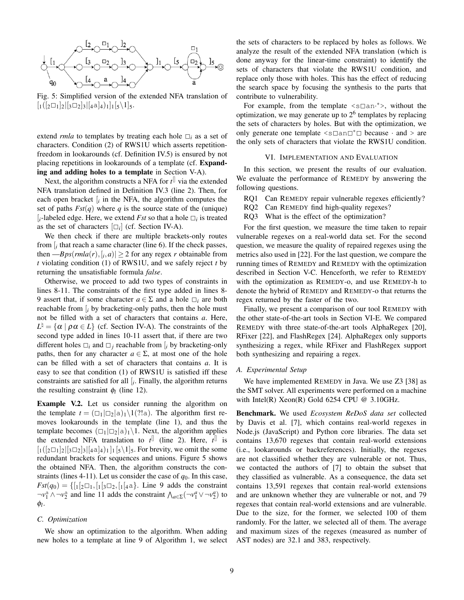

Fig. 5: Simplified version of the extended NFA translation of  $\left[ \frac{1}{2} \right] \left[ \frac{1}{2} \right] \left[ \frac{1}{3} \right] \left[ \frac{1}{4} a \right]_1 \left[ \frac{1}{5} \right] \left[ \frac{1}{5} \right].$ 

extend *rmla* to templates by treating each hole  $\Box_i$  as a set of characters. Condition (2) of RWS1U which asserts repetitionfreedom in lookarounds (cf. Definition IV.5) is ensured by not placing repetitions in lookarounds of a template (cf. Expanding and adding holes to a template in Section V-A).

Next, the algorithm constructs a NFA for *t* [] via the extended NFA translation defined in Definition IV.3 (line 2). Then, for each open bracket  $[i]$  in the NFA, the algorithm computes the set of paths  $Fst(q)$  where q is the source state of the (unique)  $[i$ -labeled edge. Here, we extend *Fst* so that a hole  $\square_i$  is treated as the set of characters  $[\Box_i]$  (cf. Section IV-A).

We then check if there are multiple brackets-only routes from [*<sup>i</sup>* that reach a same character (line 6). If the check passes, then  $-Bps(rmla(r), [i, a)] \geq 2$  for any regex *r* obtainable from *t* violating condition (1) of RWS1U, and we safely reject *t* by returning the unsatisfiable formula *false*.

Otherwise, we proceed to add two types of constraints in lines 8-11. The constraints of the first type added in lines 8- 9 assert that, if some character  $a \in \Sigma$  and a hole  $\square_i$  are both reachable from  $\int_i$  by bracketing-only paths, then the hole must not be filled with a set of characters that contains *a*. Here,  $L^{\natural} = {\alpha \mid \rho \alpha \in L}$  (cf. Section IV-A). The constraints of the second type added in lines 10-11 assert that, if there are two different holes  $\Box_i$  and  $\Box_j$  reachable from  $\vert_i$  by bracketing-only paths, then for any character  $a \in \Sigma$ , at most one of the hole can be filled with a set of characters that contains *a*. It is easy to see that condition (1) of RWS1U is satisfied iff these constraints are satisfied for all  $[i]$ . Finally, the algorithm returns the resulting constraint  $\phi_l$  (line 12).

Example V.2. Let us consider running the algorithm on the template  $t = (\Box_1 | \Box_2 | \Box_1 \setminus 1$  (?!a). The algorithm first removes lookarounds in the template (line 1), and thus the template becomes  $(\Box_1|\Box_2|a)_1\backslash 1$ . Next, the algorithm applies the extended NFA translation to  $t^{\parallel}$  (line 2). Here,  $t^{\parallel}$  is  $\left[ \frac{1}{2} \left[ \frac{2}{3} \right] \left[ \frac{1}{3} \right] \left[ \frac{1}{4} \right] \left[ \frac{1}{5} \right] \left[ \frac{1}{5} \right] \left[ \frac{1}{5} \right]$ . For brevity, we omit the some redundant brackets for sequences and unions. Figure 5 shows the obtained NFA. Then, the algorithm constructs the constraints (lines 4-11). Let us consider the case of  $q_0$ . In this case,  $Fst(q_0) = \{ [1_2 \square_1, [1_3 \square_2, [1_4 \square_3]. \text{ Line } 9 \text{ adds the constraint } \}$  $\neg v_1^a \wedge \neg v_2^a$  and line 11 adds the constraint  $\bigwedge_{a \in \Sigma} (\neg v_1^a \vee \neg v_2^a)$  to φ*l* .

#### *C. Optimization*

We show an optimization to the algorithm. When adding new holes to a template at line 9 of Algorithm 1, we select the sets of characters to be replaced by holes as follows. We analyze the result of the extended NFA translation (which is done anyway for the linear-time constraint) to identify the sets of characters that violate the RWS1U condition, and replace only those with holes. This has the effect of reducing the search space by focusing the synthesis to the parts that contribute to vulnerability.

For example, from the template  $\leq s \square$  an \*>, without the optimization, we may generate up to  $2<sup>6</sup>$  templates by replacing the sets of characters by holes. But with the optimization, we only generate one template  $\leq s \square a \square^* \square$  because  $\cdot$  and  $>$  are the only sets of characters that violate the RWS1U condition.

## VI. IMPLEMENTATION AND EVALUATION

In this section, we present the results of our evaluation. We evaluate the performance of REMEDY by answering the following questions.

- RQ1 Can REMEDY repair vulnerable regexes efficiently?
- RQ2 Can REMEDY find high-quality regexes?
- RQ3 What is the effect of the optimization?

For the first question, we measure the time taken to repair vulnerable regexes on a real-world data set. For the second question, we measure the quality of repaired regexes using the metrics also used in [22]. For the last question, we compare the running times of REMEDY and REMEDY with the optimization described in Section V-C. Henceforth, we refer to REMEDY with the optimization as REMEDY-o, and use REMEDY-h to denote the hybrid of REMEDY and REMEDY-o that returns the regex returned by the faster of the two.

Finally, we present a comparison of our tool REMEDY with the other state-of-the-art tools in Section VI-E. We compared REMEDY with three state-of-the-art tools AlphaRegex [20], RFixer [22], and FlashRegex [24]. AlphaRegex only supports synthesizing a regex, while RFixer and FlashRegex support both synthesizing and repairing a regex.

## *A. Experimental Setup*

We have implemented REMEDY in Java. We use Z3 [38] as the SMT solver. All experiments were performed on a machine with Intel(R) Xeon(R) Gold 6254 CPU  $@$  3.10GHz.

Benchmark. We used *Ecosystem ReDoS data set* collected by Davis et al. [7], which contains real-world regexes in Node.js (JavaScript) and Python core libraries. The data set contains 13,670 regexes that contain real-world extensions (i.e., lookarounds or backreferences). Initially, the regexes are not classified whether they are vulnerable or not. Thus, we contacted the authors of [7] to obtain the subset that they classified as vulnerable. As a consequence, the data set contains 13,591 regexes that contain real-world extensions and are unknown whether they are vulnerable or not, and 79 regexes that contain real-world extensions and are vulnerable. Due to the size, for the former, we selected 100 of them randomly. For the latter, we selected all of them. The average and maximum sizes of the regexes (measured as number of AST nodes) are 32.1 and 383, respectively.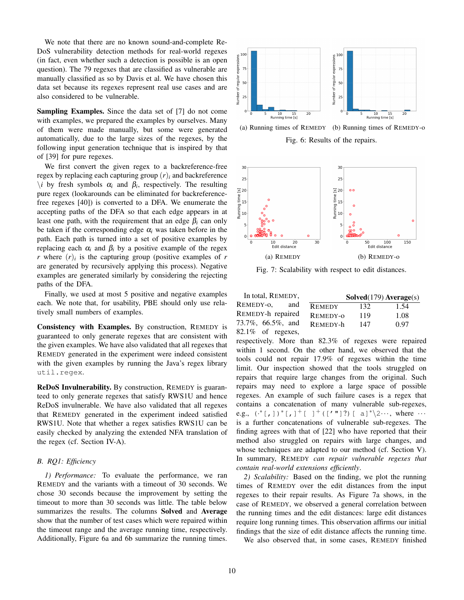We note that there are no known sound-and-complete Re-DoS vulnerability detection methods for real-world regexes (in fact, even whether such a detection is possible is an open question). The 79 regexes that are classified as vulnerable are manually classified as so by Davis et al. We have chosen this data set because its regexes represent real use cases and are also considered to be vulnerable.

Sampling Examples. Since the data set of [7] do not come with examples, we prepared the examples by ourselves. Many of them were made manually, but some were generated automatically, due to the large sizes of the regexes, by the following input generation technique that is inspired by that of [39] for pure regexes.

We first convert the given regex to a backreference-free regex by replacing each capturing group  $(r)$ *i* and backreference  $\lambda$ *i* by fresh symbols  $\alpha$ <sub>*i*</sub> and  $\beta$ <sub>*i*</sub>, respectively. The resulting pure regex (lookarounds can be eliminated for backreferencefree regexes [40]) is converted to a DFA. We enumerate the accepting paths of the DFA so that each edge appears in at least one path, with the requirement that an edge  $\beta_i$  can only be taken if the corresponding edge  $\alpha_i$  was taken before in the path. Each path is turned into a set of positive examples by replacing each  $α<sub>i</sub>$  and  $β<sub>i</sub>$  by a positive example of the regex *r* where  $(r)$ *i* is the capturing group (positive examples of *r* are generated by recursively applying this process). Negative examples are generated similarly by considering the rejecting paths of the DFA.

Finally, we used at most 5 positive and negative examples each. We note that, for usability, PBE should only use relatively small numbers of examples.

Consistency with Examples. By construction, REMEDY is guaranteed to only generate regexes that are consistent with the given examples. We have also validated that all regexes that REMEDY generated in the experiment were indeed consistent with the given examples by running the Java's regex library util.regex.

ReDoS Invulnerability. By construction, REMEDY is guaranteed to only generate regexes that satisfy RWS1U and hence ReDoS invulnerable. We have also validated that all regexes that REMEDY generated in the experiment indeed satisfied RWS1U. Note that whether a regex satisfies RWS1U can be easily checked by analyzing the extended NFA translation of the regex (cf. Section IV-A).

# *B. RQ1: Efficiency*

*1) Performance:* To evaluate the performance, we ran REMEDY and the variants with a timeout of 30 seconds. We chose 30 seconds because the improvement by setting the timeout to more than 30 seconds was little. The table below summarizes the results. The columns Solved and Average show that the number of test cases which were repaired within the timeout range and the average running time, respectively. Additionally, Figure 6a and 6b summarize the running times.



(a) Running times of REMEDY (b) Running times of REMEDY-o

Fig. 6: Results of the repairs.



Fig. 7: Scalability with respect to edit distances.

In total, REMEDY, REMEDY-o, and REMEDY-h repaired 73.7%, 66.5%, and 82.1% of regexes,

|               | Solved(179) Average(s) |      |
|---------------|------------------------|------|
| <b>REMEDY</b> | 132                    | 1.54 |
| Remedy-0      | 119                    | 1.08 |
| Remedy-h      | 147                    | 0.97 |
|               |                        |      |

respectively. More than 82.3% of regexes were repaired within 1 second. On the other hand, we observed that the tools could not repair 17.9% of regexes within the time limit. Our inspection showed that the tools struggled on repairs that require large changes from the original. Such repairs may need to explore a large space of possible regexes. An example of such failure cases is a regex that contains a concatenation of many vulnerable sub-regexes, e.g.,  $({}^{*}[,])^{*}[,]^{+}[]^{+}([{'''}])^{?})$  [ a]<sup>\*</sup> $\&$ 2···, where ··· is a further concatenations of vulnerable sub-regexes. The finding agrees with that of [22] who have reported that their method also struggled on repairs with large changes, and whose techniques are adapted to our method (cf. Section V). In summary, REMEDY *can repair vulnerable regexes that contain real-world extensions efficiently*.

*2) Scalability:* Based on the finding, we plot the running times of REMEDY over the edit distances from the input regexes to their repair results. As Figure 7a shows, in the case of REMEDY, we observed a general correlation between the running times and the edit distances: large edit distances require long running times. This observation affirms our initial findings that the size of edit distance affects the running time.

We also observed that, in some cases, REMEDY finished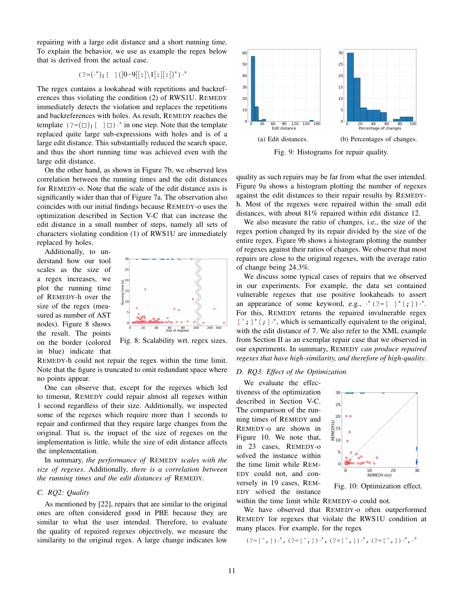repairing with a large edit distance and a short running time. To explain the behavior, we use as example the regex below that is derived from the actual case.

$$
( ? = ( .^*)_1 [ [0 - 9] [ : ] \setminus 1 [ : ]] ^*) \cdot
$$

The regex contains a lookahead with repetitions and backreferences thus violating the condition (2) of RWS1U. REMEDY immediately detects the violation and replaces the repetitions and backreferences with holes. As result, REMEDY reaches the template  $(?=(\Box)_1 [\Box] \cdot ^*$  in one step. Note that the template replaced quite large sub-expressions with holes and is of a large edit distance. This substantially reduced the search space, and thus the short running time was achieved even with the large edit distance.

On the other hand, as shown in Figure 7b, we observed less correlation between the running times and the edit distances for REMEDY-o. Note that the scale of the edit distance axis is significantly wider than that of Figure 7a. The observation also coincides with our initial findings because REMEDY-o uses the optimization described in Section V-C that can increase the edit distance in a small number of steps, namely all sets of characters violating condition (1) of RWS1U are immediately replaced by holes.

Additionally, to understand how our tool scales as the size of a regex increases, we plot the running time of REMEDY-h over the size of the regex (measured as number of AST nodes). Figure 8 shows the result. The points on the border (colored in blue) indicate that



Fig. 8: Scalability wrt. regex sizes.

REMEDY-h could not repair the regex within the time limit. Note that the figure is truncated to omit redundant space where no points appear.

One can observe that, except for the regexes which led to timeout, REMEDY could repair almost all regexes within 1 second regardless of their size. Additionally, we inspected some of the regexes which require more than 1 seconds to repair and confirmed that they require large changes from the original. That is, the impact of the size of regexes on the implementation is little, while the size of edit distance affects the implementation.

In summary, *the performance of* REMEDY *scales with the size of regexes*. Additionally, *there is a correlation between the running times and the edit distances of* REMEDY*.*

# *C. RQ2: Quality*

As mentioned by [22], repairs that are similar to the original ones are often considered good in PBE because they are similar to what the user intended. Therefore, to evaluate the quality of repaired regexes objectively, we measure the similarity to the original regex. A large change indicates low



Fig. 9: Histograms for repair quality.

quality as such repairs may be far from what the user intended. Figure 9a shows a histogram plotting the number of regexes against the edit distances to their repair results by REMEDYh. Most of the regexes were repaired within the small edit distances, with about 81% repaired within edit distance 12.

We also measure the ratio of changes, i.e., the size of the regex portion changed by its repair divided by the size of the entire regex. Figure 9b shows a histogram plotting the number of regexes against their ratios of changes. We observe that most repairs are close to the original regexes, with the average ratio of change being 24.3%.

We discuss some typical cases of repairs that we observed in our experiments. For example, the data set contained vulnerable regexes that use positive lookaheads to assert an appearance of some keyword, e.g.,  $*(?=[ ]^* [ ; ] ) \cdot^*$ . For this, REMEDY returns the repaired invulnerable regex [  $\hat{ }$  ; ]  $\hat{ }$  [ ; ]  $\hat{ }$  ∗, which is semantically equivalent to the original, with the edit distance of 7. We also refer to the XML example from Section II as an exemplar repair case that we observed in our experiments. In summary, REMEDY *can produce repaired regexes that have high-similarity, and therefore of high-quality*.

## *D. RQ3: Effect of the Optimization*

We evaluate the effectiveness of the optimization described in Section V-C. The comparison of the running times of REMEDY and REMEDY-o are shown in Figure 10. We note that, in 23 cases, REMEDY-o solved the instance within the time limit while REM-EDY could not, and conversely in 19 cases, REM-EDY solved the instance



Fig. 10: Optimization effect.

within the time limit while REMEDY-o could not.

We have observed that REMEDY-o often outperformed REMEDY for regexes that violate the RWS1U condition at many places. For example, for the regex

$$
(3 = [0, 1) \cdot 1, (3 = [0, 1) \cdot 1, (3 = [0, 1) \cdot 1, (3 = [0, 1) \cdot 1, (3 = [0, 1) \cdot 1, 1, 1)
$$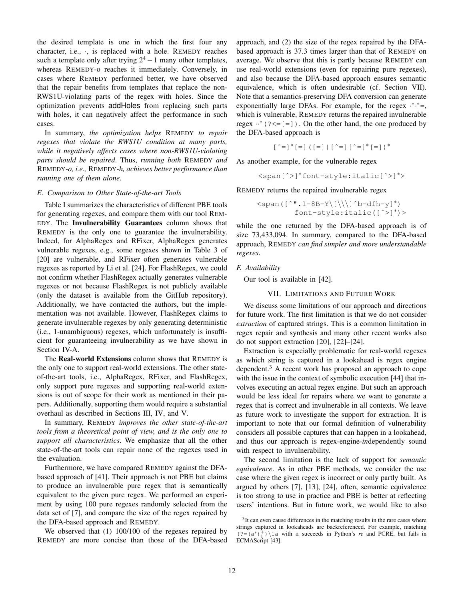the desired template is one in which the first four any character, i.e., ·, is replaced with a hole. REMEDY reaches such a template only after trying  $2^4 - 1$  many other templates, whereas REMEDY-o reaches it immediately. Conversely, in cases where REMEDY performed better, we have observed that the repair benefits from templates that replace the non-RWS1U-violating parts of the regex with holes. Since the optimization prevents addHoles from replacing such parts with holes, it can negatively affect the performance in such cases.

In summary, *the optimization helps* REMEDY *to repair regexes that violate the RWS1U condition at many parts, while it negatively affects cases where non-RWS1U-violating parts should be repaired*. Thus, *running both* REMEDY *and* REMEDY*-o, i.e.,* REMEDY*-h, achieves better performance than running one of them alone*.

#### *E. Comparison to Other State-of-the-art Tools*

Table I summarizes the characteristics of different PBE tools for generating regexes, and compare them with our tool REM-EDY. The Invulnerability Guarantees column shows that REMEDY is the only one to guarantee the invulnerability. Indeed, for AlphaRegex and RFixer, AlphaRegex generates vulnerable regexes, e.g., some regexes shown in Table 3 of [20] are vulnerable, and RFixer often generates vulnerable regexes as reported by Li et al. [24]. For FlashRegex, we could not confirm whether FlashRegex actually generates vulnerable regexes or not because FlashRegex is not publicly available (only the dataset is available from the GitHub repository). Additionally, we have contacted the authors, but the implementation was not available. However, FlashRegex claims to generate invulnerable regexes by only generating deterministic (i.e., 1-unambiguous) regexes, which unfortunately is insufficient for guaranteeing invulnerability as we have shown in Section IV-A.

The Real-world Extensions column shows that REMEDY is the only one to support real-world extensions. The other stateof-the-art tools, i.e., AlphaRegex, RFixer, and FlashRegex, only support pure regexes and supporting real-world extensions is out of scope for their work as mentioned in their papers. Additionally, supporting them would require a substantial overhaul as described in Sections III, IV, and V.

In summary, REMEDY *improves the other state-of-the-art tools from a theoretical point of view, and is the only one to support all characteristics*. We emphasize that all the other state-of-the-art tools can repair none of the regexes used in the evaluation.

Furthermore, we have compared REMEDY against the DFAbased approach of [41]. Their approach is not PBE but claims to produce an invulnerable pure regex that is semantically equivalent to the given pure regex. We performed an experiment by using 100 pure regexes randomly selected from the data set of [7], and compare the size of the regex repaired by the DFA-based approach and REMEDY.

We observed that (1) 100/100 of the regexes repaired by REMEDY are more concise than those of the DFA-based

approach, and (2) the size of the regex repaired by the DFAbased approach is 37.3 times larger than that of REMEDY on average. We observe that this is partly because REMEDY can use real-world extensions (even for repairing pure regexes), and also because the DFA-based approach ensures semantic equivalence, which is often undesirable (cf. Section VII). Note that a semantics-preserving DFA conversion can generate exponentially large DFAs. For example, for the regex  $·$ \* $-$ \*=, which is vulnerable, REMEDY returns the repaired invulnerable regex  $\cdot \cdot^*$  (? < = [ = ]). On the other hand, the one produced by the DFA-based approach is

[ˆ=]∗[=]([=]|[ˆ=][ˆ=]∗[=])<sup>∗</sup>

As another example, for the vulnerable regex

<span[ˆ>]∗font-style:italic[ˆ>]∗>

REMEDY returns the repaired invulnerable regex

$$
\langle \text{span}\left(\left[\begin{array}{c} \text{``.1-8B-Y}}\right] \right] \text{`}b-\text{dfh-y} \\ \text{font-style:} \left(\left[\begin{array}{c} \text{``.1-8B-Y}}\right] \end{array}\right) \text{'} \right)
$$

while the one returned by the DFA-based approach is of size 73,433,094. In summary, compared to the DFA-based approach, REMEDY *can find simpler and more understandable regexes*.

## *F. Availability*

Our tool is available in [42].

## VII. LIMITATIONS AND FUTURE WORK

We discuss some limitations of our approach and directions for future work. The first limitation is that we do not consider *extraction* of captured strings. This is a common limitation in regex repair and synthesis and many other recent works also do not support extraction [20], [22]–[24].

Extraction is especially problematic for real-world regexes as which string is captured in a lookahead is regex engine dependent. $3$  A recent work has proposed an approach to cope with the issue in the context of symbolic execution [44] that involves executing an actual regex engine. But such an approach would be less ideal for repairs where we want to generate a regex that is correct and invulnerable in all contexts. We leave as future work to investigate the support for extraction. It is important to note that our formal definition of vulnerability considers all possible captures that can happen in a lookahead, and thus our approach is regex-engine-*in*dependently sound with respect to invulnerability.

The second limitation is the lack of support for *semantic equivalence*. As in other PBE methods, we consider the use case where the given regex is incorrect or only partly built. As argued by others [7], [13], [24], often, semantic equivalence is too strong to use in practice and PBE is better at reflecting users' intentions. But in future work, we would like to also

 $3$ It can even cause differences in the matching results in the rare cases where strings captured in lookaheads are backreferenced. For example, matching  $(?=(a^*)_1^+) \setminus 1$ a with a succeeds in Python's *re* and PCRE, but fails in ECMAScript [43].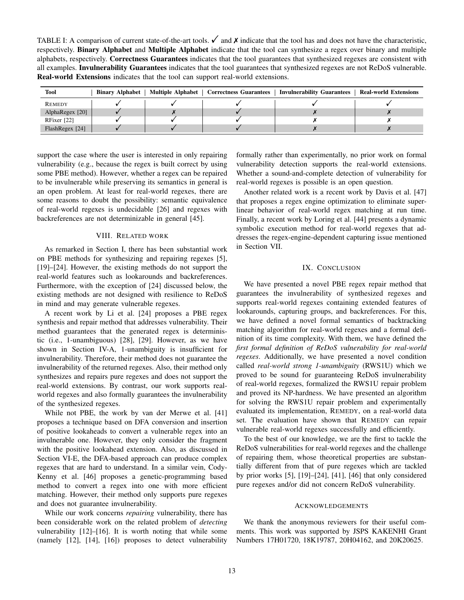TABLE I: A comparison of current state-of-the-art tools.  $\checkmark$  and  $\checkmark$  indicate that the tool has and does not have the characteristic, respectively. Binary Alphabet and Multiple Alphabet indicate that the tool can synthesize a regex over binary and multiple alphabets, respectively. Correctness Guarantees indicates that the tool guarantees that synthesized regexes are consistent with all examples. Invulnerability Guarantees indicates that the tool guarantees that synthesized regexes are not ReDoS vulnerable. Real-world Extensions indicates that the tool can support real-world extensions.

| Tool            | <b>Binary Alphabet</b> | Multiple Alphabet   Correctness Guarantees | <b>Invulnerability Guarantees</b> | <b>Real-world Extensions</b> |
|-----------------|------------------------|--------------------------------------------|-----------------------------------|------------------------------|
| <b>REMEDY</b>   |                        |                                            |                                   |                              |
| AlphaRegex [20] |                        |                                            |                                   |                              |
| RFixer [22]     |                        |                                            |                                   |                              |
| FlashRegex [24] |                        |                                            |                                   |                              |

support the case where the user is interested in only repairing vulnerability (e.g., because the regex is built correct by using some PBE method). However, whether a regex can be repaired to be invulnerable while preserving its semantics in general is an open problem. At least for real-world regexes, there are some reasons to doubt the possibility: semantic equivalence of real-world regexes is undecidable [26] and regexes with backreferences are not determinizable in general [45].

## VIII. RELATED WORK

As remarked in Section I, there has been substantial work on PBE methods for synthesizing and repairing regexes [5], [19]–[24]. However, the existing methods do not support the real-world features such as lookarounds and backreferences. Furthermore, with the exception of [24] discussed below, the existing methods are not designed with resilience to ReDoS in mind and may generate vulnerable regexes.

A recent work by Li et al. [24] proposes a PBE regex synthesis and repair method that addresses vulnerability. Their method guarantees that the generated regex is deterministic (i.e., 1-unambiguous) [28], [29]. However, as we have shown in Section IV-A, 1-unambiguity is insufficient for invulnerability. Therefore, their method does not guarantee the invulnerability of the returned regexes. Also, their method only synthesizes and repairs pure regexes and does not support the real-world extensions. By contrast, our work supports realworld regexes and also formally guarantees the invulnerability of the synthesized regexes.

While not PBE, the work by van der Merwe et al. [41] proposes a technique based on DFA conversion and insertion of positive lookaheads to convert a vulnerable regex into an invulnerable one. However, they only consider the fragment with the positive lookahead extension. Also, as discussed in Section VI-E, the DFA-based approach can produce complex regexes that are hard to understand. In a similar vein, Cody-Kenny et al. [46] proposes a genetic-programming based method to convert a regex into one with more efficient matching. However, their method only supports pure regexes and does not guarantee invulnerability.

While our work concerns *repairing* vulnerability, there has been considerable work on the related problem of *detecting* vulnerability [12]–[16]. It is worth noting that while some (namely [12], [14], [16]) proposes to detect vulnerability formally rather than experimentally, no prior work on formal vulnerability detection supports the real-world extensions. Whether a sound-and-complete detection of vulnerability for real-world regexes is possible is an open question.

Another related work is a recent work by Davis et al. [47] that proposes a regex engine optimization to eliminate superlinear behavior of real-world regex matching at run time. Finally, a recent work by Loring et al. [44] presents a dynamic symbolic execution method for real-world regexes that addresses the regex-engine-dependent capturing issue mentioned in Section VII.

## IX. CONCLUSION

We have presented a novel PBE regex repair method that guarantees the invulnerability of synthesized regexes and supports real-world regexes containing extended features of lookarounds, capturing groups, and backreferences. For this, we have defined a novel formal semantics of backtracking matching algorithm for real-world regexes and a formal definition of its time complexity. With them, we have defined the *first formal definition of ReDoS vulnerability for real-world regexes*. Additionally, we have presented a novel condition called *real-world strong 1-unambiguity* (RWS1U) which we proved to be sound for guaranteeing ReDoS invulnerability of real-world regexes, formalized the RWS1U repair problem and proved its NP-hardness. We have presented an algorithm for solving the RWS1U repair problem and experimentally evaluated its implementation, REMEDY, on a real-world data set. The evaluation have shown that REMEDY can repair vulnerable real-world regexes successfully and efficiently.

To the best of our knowledge, we are the first to tackle the ReDoS vulnerabilities for real-world regexes and the challenge of repairing them, whose theoretical properties are substantially different from that of pure regexes which are tackled by prior works [5], [19]–[24], [41], [46] that only considered pure regexes and/or did not concern ReDoS vulnerability.

#### **ACKNOWLEDGEMENTS**

We thank the anonymous reviewers for their useful comments. This work was supported by JSPS KAKENHI Grant Numbers 17H01720, 18K19787, 20H04162, and 20K20625.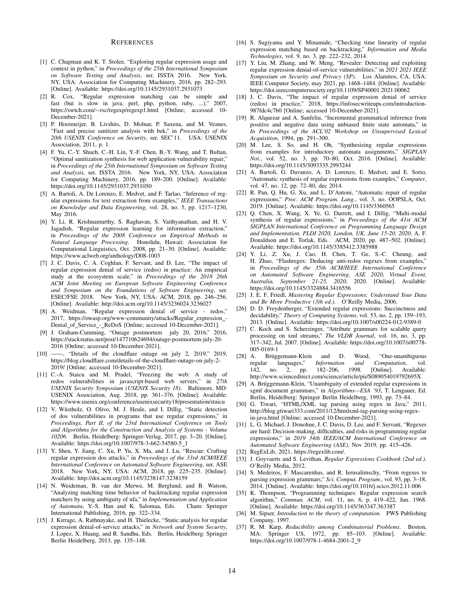#### **REFERENCES**

- [1] C. Chapman and K. T. Stolee, "Exploring regular expression usage and context in python," in *Proceedings of the 25th International Symposium on Software Testing and Analysis*, ser. ISSTA 2016. New York, NY, USA: Association for Computing Machinery, 2016, pp. 282–293. [Online]. Available: https://doi.org/10.1145/2931037.2931073
- [2] R. Cox, "Regular expression matching can be simple and fast (but is slow in java, perl, php, python, ruby, ...)," 2007, https://swtch.com/∼rsc/regexp/regexp1.html [Online; accessed 10- December-2021].
- [3] P. Hooimeijer, B. Livshits, D. Molnar, P. Saxena, and M. Veanes, "Fast and precise sanitizer analysis with bek," in *Proceedings of the 20th USENIX Conference on Security*, ser. SEC'11. USA: USENIX Association, 2011, p. 1.
- [4] F. Yu, C.-Y. Shueh, C.-H. Lin, Y.-F. Chen, B.-Y. Wang, and T. Bultan, "Optimal sanitization synthesis for web application vulnerability repair," in *Proceedings of the 25th International Symposium on Software Testing and Analysis*, ser. ISSTA 2016. New York, NY, USA: Association for Computing Machinery, 2016, pp. 189–200. [Online]. Available: https://doi.org/10.1145/2931037.2931050
- [5] A. Bartoli, A. De Lorenzo, E. Medvet, and F. Tarlao, "Inference of regular expressions for text extraction from examples," *IEEE Transactions on Knowledge and Data Engineering*, vol. 28, no. 5, pp. 1217–1230, May 2016.
- [6] Y. Li, R. Krishnamurthy, S. Raghavan, S. Vaithyanathan, and H. V. Jagadish, "Regular expression learning for information extraction," in *Proceedings of the 2008 Conference on Empirical Methods in Natural Language Processing*. Honolulu, Hawaii: Association for Computational Linguistics, Oct. 2008, pp. 21–30. [Online]. Available: https://www.aclweb.org/anthology/D08-1003
- [7] J. C. Davis, C. A. Coghlan, F. Servant, and D. Lee, "The impact of regular expression denial of service (redos) in practice: An empirical study at the ecosystem scale," in *Proceedings of the 2018 26th ACM Joint Meeting on European Software Engineering Conference and Symposium on the Foundations of Software Engineering*, ser. ESEC/FSE 2018. New York, NY, USA: ACM, 2018, pp. 246–256. [Online]. Available: http://doi.acm.org/10.1145/3236024.3236027
- [8] A. Weidman, "Regular expression denial of service redos," 2017, https://owasp.org/www-community/attacks/Regular\_expression\_-Denial\_of\_Service\_-\_ReDoS [Online; accessed 10-December-2021].
- [9] J. Graham-Cumming, "Outage postmortem july 20, 2016," 2016, https://stackstatus.net/post/147710624694/outage-postmortem-july-20- 2016 [Online; accessed 10-December-2021].
- [10] -, "Details of the cloudflare outage on july 2, 2019," 2019, https://blog.cloudflare.com/details-of-the-cloudflare-outage-on-july-2- 2019/ [Online; accessed 10-December-2021].
- [11] C.-A. Staicu and M. Pradel, "Freezing the web: A study of redos vulnerabilities in javascript-based web servers," in *27th USENIX Security Symposium (USENIX Security 18)*. Baltimore, MD: USENIX Association, Aug. 2018, pp. 361–376. [Online]. Available: https://www.usenix.org/conference/usenixsecurity18/presentation/staicu
- [12] V. Wüstholz, O. Olivo, M. J. Heule, and I. Dillig, "Static detection of dos vulnerabilities in programs that use regular expressions," in *Proceedings, Part II, of the 23rd International Conference on Tools and Algorithms for the Construction and Analysis of Systems - Volume 10206*. Berlin, Heidelberg: Springer-Verlag, 2017, pp. 3–20. [Online]. Available: https://doi.org/10.1007/978-3-662-54580-5\_1
- [13] Y. Shen, Y. Jiang, C. Xu, P. Yu, X. Ma, and J. Lu, "Rescue: Crafting regular expression dos attacks," in *Proceedings of the 33rd ACM/IEEE International Conference on Automated Software Engineering*, ser. ASE 2018. New York, NY, USA: ACM, 2018, pp. 225–235. [Online]. Available: http://doi.acm.org/10.1145/3238147.3238159
- [14] N. Weideman, B. van der Merwe, M. Berglund, and B. Watson, "Analyzing matching time behavior of backtracking regular expression matchers by using ambiguity of nfa," in *Implementation and Application of Automata*, Y.-S. Han and K. Salomaa, Eds. Cham: Springer International Publishing, 2016, pp. 322–334.
- [15] J. Kirrage, A. Rathnayake, and H. Thielecke, "Static analysis for regular expression denial-of-service attacks," in *Network and System Security*, J. Lopez, X. Huang, and R. Sandhu, Eds. Berlin, Heidelberg: Springer Berlin Heidelberg, 2013, pp. 135–148.
- [16] S. Sugiyama and Y. Minamide, "Checking time linearity of regular expression matching based on backtracking," *Information and Media Technologies*, vol. 9, no. 3, pp. 222–232, 2014.
- [17] Y. Liu, M. Zhang, and W. Meng, "Revealer: Detecting and exploiting regular expression denial-of-service vulnerabilities," in *2021 2021 IEEE Symposium on Security and Privacy (SP)*. Los Alamitos, CA, USA: IEEE Computer Society, may 2021, pp. 1468–1484. [Online]. Available: https://doi.ieeecomputersociety.org/10.1109/SP40001.2021.00062
- [18] J. C. Davis, "The impact of regular expression denial of service (redos) in practice," 2018, https://infosecwriteups.com/introduction-987fdc4c7b0 [Online; accessed 10-December-2021].
- [19] R. Alquezar and A. Sanfeliu, "Incremental grammatical inference from positive and negative data using unbiased finite state automata," in *In Proceedings of the ACL'02 Workshop on Unsupervised Lexical Acquisition*, 1994, pp. 291–300.
- [20] M. Lee, S. So, and H. Oh, "Synthesizing regular expressions from examples for introductory automata assignments," *SIGPLAN Not.*, vol. 52, no. 3, pp. 70–80, Oct. 2016. [Online]. Available: https://doi.org/10.1145/3093335.2993244
- [21] A. Bartoli, G. Davanzo, A. D. Lorenzo, E. Medvet, and E. Sorio, "Automatic synthesis of regular expressions from examples," *Computer*, vol. 47, no. 12, pp. 72–80, dec 2014.
- [22] R. Pan, Q. Hu, G. Xu, and L. D'Antoni, "Automatic repair of regular expressions," *Proc. ACM Program. Lang.*, vol. 3, no. OOPSLA, Oct. 2019. [Online]. Available: https://doi.org/10.1145/3360565
- [23] Q. Chen, X. Wang, X. Ye, G. Durrett, and I. Dillig, "Multi-modal synthesis of regular expressions," in *Proceedings of the 41st ACM SIGPLAN International Conference on Programming Language Design and Implementation, PLDI 2020, London, UK, June 15-20, 2020*, A. F. Donaldson and E. Torlak, Eds. ACM, 2020, pp. 487–502. [Online]. Available: https://doi.org/10.1145/3385412.3385988
- [24] Y. Li, Z. Xu, J. Cao, H. Chen, T. Ge, S.-C. Cheung, and H. Zhao, "Flashregex: Deducing anti-redos regexes from examples," in *Proceedings of the 35th ACM/IEEE International Conference on Automated Software Engineering, ASE 2020, Virtual Event, Australia, September 21-25, 2020*, 2020. [Online]. Available: https://doi.org/10.1145/3324884.3416556
- [25] J. E. F. Friedl, *Mastering Regular Expressions: Understand Your Data and Be More Productive (3th ed.)*. O'Reilly Media, 2006.
- [26] D. D. Freydenberger, "Extended regular expressions: Succinctness and decidability," *Theory of Computing Systems*, vol. 53, no. 2, pp. 159–193, 2013. [Online]. Available: https://doi.org/10.1007/s00224-012-9389-0
- [27] C. Koch and S. Scherzinger, "Attribute grammars for scalable query processing on xml streams," *The VLDB Journal*, vol. 16, no. 3, pp. 317–342, Jul. 2007. [Online]. Available: https://doi.org/10.1007/s00778- 005-0169-1
- [28] A. Brüggemann-Klein and D. Wood, "One-unambiguous regular languages," *Information and Computation*, vol. 142, no. 2, pp. 182–206, 1998. [Online]. Available: http://www.sciencedirect.com/science/article/pii/S089054019792695X
- [29] A. Brüggemann-Klein, "Unambiguity of extended regular expressions in sgml document grammars," in *Algorithms—ESA '93*, T. Lengauer, Ed. Berlin, Heidelberg: Springer Berlin Heidelberg, 1993, pp. 73–84.
- [30] G. Tiwari, "HTML/XML tag parsing using regex in Java," 2011, http://blog.gtiwari333.com/2011/12/htmlxml-tag-parsing-using-regexin-java.html [Online; accessed 10-December-2021].
- [31] L. G. Michael, J. Donohue, J. C. Davis, D. Lee, and F. Servant, "Regexes are hard: Decision-making, difficulties, and risks in programming regular expressions," in *2019 34th IEEE/ACM International Conference on Automated Software Engineering (ASE)*, Nov 2019, pp. 415–426.
- [32] RegExLib, 2021, https://regexlib.com/.
- [33] J. Goyvaerts and S. Levithan, *Regular Expressions Cookbook (2nd ed.)*. O'Reilly Media, 2012.
- [34] S. Medeiros, F. Mascarenhas, and R. Ierusalimschy, "From regexes to parsing expression grammars," *Sci. Comput. Program.*, vol. 93, pp. 3–18, 2014. [Online]. Available: https://doi.org/10.1016/j.scico.2012.11.006
- [35] K. Thompson, "Programming techniques: Regular expression search algorithm," *Commun. ACM*, vol. 11, no. 6, p. 419–422, Jun. 1968. [Online]. Available: https://doi.org/10.1145/363347.363387
- [36] M. Sipser, *Introduction to the theory of computation*. PWS Publishing Company, 1997.
- [37] R. M. Karp, *Reducibility among Combinatorial Problems*. Boston, MA: Springer US, 1972, pp. 85–103. [Online]. Available: https://doi.org/10.1007/978-1-4684-2001-2\_9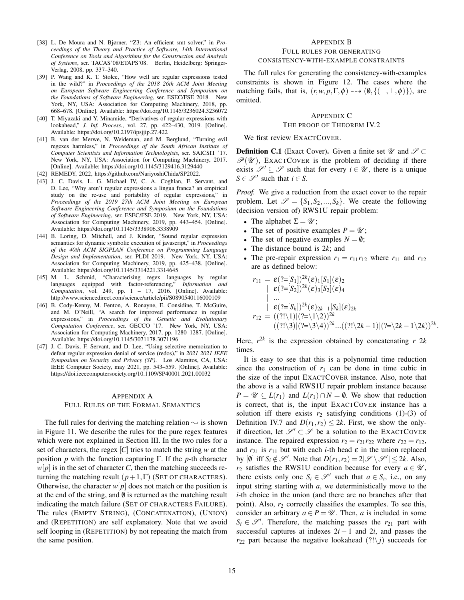- [38] L. De Moura and N. Bjørner, "Z3: An efficient smt solver," in *Proceedings of the Theory and Practice of Software, 14th International Conference on Tools and Algorithms for the Construction and Analysis of Systems*, ser. TACAS'08/ETAPS'08. Berlin, Heidelberg: Springer-Verlag, 2008, pp. 337–340.
- [39] P. Wang and K. T. Stolee, "How well are regular expressions tested in the wild?" in *Proceedings of the 2018 26th ACM Joint Meeting on European Software Engineering Conference and Symposium on the Foundations of Software Engineering*, ser. ESEC/FSE 2018. New York, NY, USA: Association for Computing Machinery, 2018, pp. 668–678. [Online]. Available: https://doi.org/10.1145/3236024.3236072
- [40] T. Miyazaki and Y. Minamide, "Derivatives of regular expressions with lookahead," *J. Inf. Process.*, vol. 27, pp. 422–430, 2019. [Online]. Available: https://doi.org/10.2197/ipsjjip.27.422
- [41] B. van der Merwe, N. Weideman, and M. Berglund, "Turning evil regexes harmless," in *Proceedings of the South African Institute of Computer Scientists and Information Technologists*, ser. SAICSIT '17. New York, NY, USA: Association for Computing Machinery, 2017. [Online]. Available: https://doi.org/10.1145/3129416.3129440
- [42] REMEDY, 2022, https://github.com/NariyoshiChida/SP2022.
- [43] J. C. Davis, L. G. Michael IV, C. A. Coghlan, F. Servant, and D. Lee, "Why aren't regular expressions a lingua franca? an empirical study on the re-use and portability of regular expressions," in *Proceedings of the 2019 27th ACM Joint Meeting on European Software Engineering Conference and Symposium on the Foundations of Software Engineering*, ser. ESEC/FSE 2019. New York, NY, USA: Association for Computing Machinery, 2019, pp. 443–454. [Online]. Available: https://doi.org/10.1145/3338906.3338909
- [44] B. Loring, D. Mitchell, and J. Kinder, "Sound regular expression semantics for dynamic symbolic execution of javascript," in *Proceedings of the 40th ACM SIGPLAN Conference on Programming Language Design and Implementation*, ser. PLDI 2019. New York, NY, USA: Association for Computing Machinery, 2019, pp. 425–438. [Online]. Available: https://doi.org/10.1145/3314221.3314645
- [45] M. L. Schmid, "Characterising regex languages by regular languages equipped with factor-referencing," *Information and Computation*, vol. 249, pp. 1 – 17, 2016. [Online]. Available: http://www.sciencedirect.com/science/article/pii/S0890540116000109
- [46] B. Cody-Kenny, M. Fenton, A. Ronayne, E. Considine, T. McGuire, and M. O'Neill, "A search for improved performance in regular expressions," in *Proceedings of the Genetic and Evolutionary Computation Conference*, ser. GECCO '17. New York, NY, USA: Association for Computing Machinery, 2017, pp. 1280–1287. [Online]. Available: https://doi.org/10.1145/3071178.3071196
- [47] J. C. Davis, F. Servant, and D. Lee, "Using selective memoization to defeat regular expression denial of service (redos)," in *2021 2021 IEEE Symposium on Security and Privacy (SP)*. Los Alamitos, CA, USA: IEEE Computer Society, may 2021, pp. 543–559. [Online]. Available: https://doi.ieeecomputersociety.org/10.1109/SP40001.2021.00032

#### APPENDIX A

## FULL RULES OF THE FORMAL SEMANTICS

The full rules for deriving the matching relation  $\sim$  is shown in Figure 11. We describe the rules for the pure regex features which were not explained in Section III. In the two rules for a set of characters, the regex [*C*] tries to match the string *w* at the position *p* with the function capturing Γ. If the *p*-th character  $w[p]$  is in the set of character *C*, then the matching succeeds returning the matching result  $(p+1,\Gamma)$  (SET OF CHARACTERS). Otherwise, the character  $w[p]$  does not match or the position is at the end of the string, and  $\emptyset$  is returned as the matching result indicating the match failure (SET OF CHARACTERS FAILURE). The rules (EMPTY STRING), (CONCATENATION), (UNION) and (REPETITION) are self explanatory. Note that we avoid self looping in (REPETITION) by not repeating the match from the same position.

# APPENDIX B FULL RULES FOR GENERATING CONSISTENCY-WITH-EXAMPLE CONSTRAINTS

The full rules for generating the consistency-with-examples constraints is shown in Figure 12. The cases where the matching fails, that is,  $(r, w, p, \Gamma, \phi) \rightarrow (\emptyset, \{(\bot, \bot, \phi)\})$ , are omitted.

# APPENDIX C THE PROOF OF THEOREM IV.2

We first review EXACTCOVER.

**Definition C.1** (Exact Cover). Given a finite set  $\mathcal{U}$  and  $\mathcal{S} \subset$  $\mathscr{P}(\mathscr{U})$ , EXACTCOVER is the problem of deciding if there exists  $\mathscr{S}' \subseteq \mathscr{S}$  such that for every  $i \in \mathscr{U}$ , there is a unique  $S \in \mathcal{S}'$  such that  $i \in S$ .

*Proof.* We give a reduction from the exact cover to the repair problem. Let  $\mathcal{S} = \{S_1, S_2, ..., S_k\}$ . We create the following (decision version of) RWS1U repair problem:

- The alphabet  $\Sigma = \mathcal{U}$ ;
- The set of positive examples  $P = \mathcal{U}$ ;
- The set of negative examples  $N = \emptyset$ ;
- The distance bound is 2*k*; and
- The pre-repair expression  $r_1 = r_{11}r_{12}$  where  $r_{11}$  and  $r_{12}$ are as defined below:

$$
r_{11} = \varepsilon (?=[S_1])^{2k}(\varepsilon)_{1} [S_1](\varepsilon)_{2}
$$
  
\n
$$
|\varepsilon (?=[S_2])^{2k}(\varepsilon)_{3} [S_2](\varepsilon)_{4}
$$
  
\n...  
\n
$$
|\varepsilon (?=[S_k])^{2k}(\varepsilon)_{2k-1} [S_k](\varepsilon)_{2k}
$$
  
\n
$$
r_{12} = ((?!\setminus 1)(?=[\setminus 1\setminus 2])^{2k}
$$
  
\n
$$
((?!\setminus 3)(?=[\setminus 3\setminus 4))^{2k}...((?!\setminus 2k-1)(?=[\setminus 2k-1\setminus 2k))^{2k}.
$$

Here,  $r^{2k}$  is the expression obtained by concatenating  $r 2k$ times.

It is easy to see that this is a polynomial time reduction since the construction of  $r_1$  can be done in time cubic in the size of the input EXACTCOVER instance. Also, note that the above is a valid RWS1U repair problem instance because  $P = \mathscr{U} \subseteq L(r_1)$  and  $L(r_1) \cap N = \emptyset$ . We show that reduction is correct, that is, the input EXACTCOVER instance has a solution iff there exists  $r_2$  satisfying conditions (1)-(3) of Definition IV.7 and  $D(r_1, r_2) \leq 2k$ . First, we show the onlyif direction, let  $\mathcal{S}' \subset \mathcal{S}$  be a solution to the EXACTCOVER instance. The repaired expression  $r_2 = r_{21}r_{22}$  where  $r_{22} = r_{12}$ , and  $r_{21}$  is  $r_{11}$  but with each *i*-th head  $\varepsilon$  in the union replaced by  $[\emptyset]$  iff  $S_i \notin \mathcal{S}'$ . Note that  $D(r_1, r_2) = 2|\mathcal{S} \setminus \mathcal{S}'| \leq 2k$ . Also, *r*<sub>2</sub> satisfies the RWS1U condition because for every  $a \in \mathcal{U}$ , there exists only one  $S_i \in \mathcal{S}'$  such that  $a \in S_i$ , i.e., on any input string starting with *a*, we deterministically move to the *i*-th choice in the union (and there are no branches after that point). Also,  $r_2$  correctly classifies the examples. To see this, consider an arbitrary  $a \in P = \mathcal{U}$ . Then, *a* is included in some  $S_i \in \mathcal{S}'$ . Therefore, the matching passes the *r*<sub>21</sub> part with successful captures at indexes  $2i - 1$  and  $2i$ , and passes the  $r_{22}$  part because the negative lookahead  $(?!\setminus j)$  succeeds for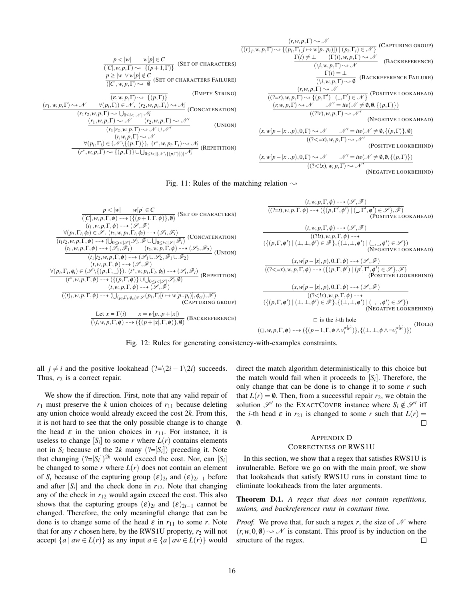$$
\frac{p < |w| \quad w[p] \in C \quad (\Gamma(r), w, p, \Gamma) \sim \mathcal{N} \quad (\Gamma(r), w, p, \Gamma) \sim \mathcal{N} \quad (\Gamma(r), w, p, \Gamma) \sim \mathcal{N} \quad (\text{BACKREFERENCE})
$$
\n
$$
\frac{p < |w| \quad w[p] \in C \quad (\Gamma(r), w, p, \Gamma) \sim \mathcal{N} \quad (\Gamma(r), w, p, \Gamma) \sim \mathcal{N} \quad (\text{BACKREFERENCE})}{(\Gamma(r), w, p, \Gamma) \sim \mathcal{N} \quad (\Gamma(r), w, p, \Gamma) \sim \mathcal{N} \quad (\text{BACKREFERENCE} \quad (\Gamma(r), w, p, \Gamma) \sim \mathcal{N} \quad (\text{BACKREFERENCE} \quad (\Gamma(r), w, p, \Gamma) \sim \mathcal{N} \quad (\Gamma(r), w, p, \Gamma) \sim \mathcal{N} \quad (\Gamma(r), w, p, \Gamma) \sim \mathcal{N} \quad (\Gamma(r), w, p, \Gamma) \sim \mathcal{N} \quad (\Gamma(r), w, p, \Gamma) \sim \mathcal{N} \quad (\Gamma(r), w, p, \Gamma) \sim \mathcal{N} \quad (\Gamma(r), w, p, \Gamma) \sim \mathcal{N} \quad (\Gamma(r), w, p, \Gamma) \sim \mathcal{N} \quad (\Gamma(r), w, p, \Gamma) \sim \mathcal{N} \quad (\Gamma(r), w, p, \Gamma) \sim \mathcal{N} \quad (\Gamma(r), w, p, \Gamma) \sim \mathcal{N} \quad (\Gamma(r), w, p, \Gamma) \sim \mathcal{N} \quad (\Gamma(r), w, p, \Gamma) \sim \mathcal{N} \quad (\Gamma(r), w, p, \Gamma) \sim \mathcal{N} \quad (\Gamma(r), w, p, \Gamma) \sim \mathcal{N} \quad (\Gamma(r), w, p, \Gamma) \sim \mathcal{N} \quad (\Gamma(r), w, p, \Gamma) \sim \mathcal{N} \quad (\Gamma(r), w, p, \Gamma) \sim \mathcal{N} \quad (\Gamma(r), w, p, \Gamma) \sim \mathcal{N} \quad (\Gamma(r), w, p, \Gamma) \sim \mathcal{N} \quad (\Gamma(r), w, p, \Gamma) \sim \mathcal{N} \quad (\Gamma(r), w, p, \Gamma) \sim \mathcal{N} \quad (\Gamma(r), w, p, \Gamma) \sim \mathcal{N} \quad (\Gamma(r), w, p, \Gamma) \sim \mathcal{N}
$$

(NEGATIVE LOOKBEHIND)



| $\frac{p <  w  \quad w[p] \in C}{([C], w, p, \Gamma, \phi) \longrightarrow (\{(p+1, \Gamma, \phi)\}, \emptyset)}$ (SET OF CHARACTERS)<br>$(t_1, w, p, \Gamma, \phi) \longrightarrow (\mathcal{S}, \mathcal{F})$                                                                                                                                                                                                                                                                                                                                  | $(t, w, p, \Gamma, \phi) \dashrightarrow (\mathscr{S}, \mathscr{F})$<br>$((?=t), w, p, \Gamma, \phi) \dashrightarrow (\{(p, \Gamma', \phi') \mid (\_, \Gamma', \phi') \in \mathscr{S}\}, \mathscr{F})$<br>(POSITIVE LOOKAHEAD)                                                             |
|--------------------------------------------------------------------------------------------------------------------------------------------------------------------------------------------------------------------------------------------------------------------------------------------------------------------------------------------------------------------------------------------------------------------------------------------------------------------------------------------------------------------------------------------------|--------------------------------------------------------------------------------------------------------------------------------------------------------------------------------------------------------------------------------------------------------------------------------------------|
| $\frac{\forall (p_i, \Gamma_i, \phi_i) \in \mathscr{S}. (t_2, w, p_i, \Gamma_i, \phi_i) \longrightarrow (\mathscr{S}_i, \mathscr{F}_i)}{(t_1t_2, w, p, \Gamma, \phi) \longrightarrow (\bigcup_{0 \le i <  \mathscr{S} } \mathscr{S}_i, \mathscr{F} \cup \bigcup_{0 \le i <  \mathscr{S} } \mathscr{F}_i)}$ (CONCATENATION)<br>$\frac{(t_1,w,p,\Gamma,\phi)\dashrightarrow(\bar{\mathscr{S}}_1,\bar{\mathscr{F}}_1)}{(t_1 t_2,w,p,\Gamma,\phi)\dashrightarrow(\mathscr{S}_1\cup\mathscr{S}_2,\bar{\mathscr{F}}_1\cup\bar{\mathscr{F}}_2)}(UNION)$ | $(t, w, p, \Gamma, \phi) \dashrightarrow (\mathscr{S}, \mathscr{F})$<br>$((?!t), w, p, \Gamma, \phi) \rightarrow$<br>$(\{(\rho,\Gamma,\phi') \mid (\bot,\bot,\phi') \in \mathscr{F}\}, {\{\bot,\bot,\phi'\}\mid (\_,\_,\phi')} \in \mathscr{S}\})$<br>(NEGATIVE LOOKAHEAD)                 |
| $(t, w, p, \Gamma, \phi) \dashrightarrow (\mathscr{S}, \mathscr{F})$<br>$\forall (p_i, \Gamma_i, \phi_i) \in (\mathscr{S} \setminus \{ (p, \Gamma, \_) \})$ . $(t^*, w, p_i, \Gamma_i, \phi_i) \dashrightarrow (\mathscr{S}_i, \mathscr{F}_i)$<br>$(t^*, w, p, \Gamma, \phi) \dashrightarrow (\{ (p, \Gamma, \phi) \} \cup \bigcup_{0 \leq i <  \mathscr{S} } \mathscr{S}_i, \emptyset)$ (REPETITION)                                                                                                                                            | $(x, w[p- x , p), 0, \Gamma, \phi) \longrightarrow (\mathscr{S}, \mathscr{F})$<br>$((? \langle =x), w, p, \Gamma, \phi) \rightarrow (\{(p, \Gamma, \phi') \mid (p', \Gamma', \phi') \in \mathscr{S}\}, \mathscr{F})$<br>(POSITIVE LOOKBEHIND)                                              |
| $(t, w, p, \Gamma, \phi) \longrightarrow (\mathcal{S}, \mathcal{F})$<br>$((t)_i, w, p, \Gamma, \phi) \dashrightarrow (\bigcup_{(p_i, \Gamma_i, \phi_{ci}) \in \mathcal{S}} (p_i, \Gamma_i[i \mapsto w[pp_i)], \phi_{ci}), \mathcal{F})$<br>(CAPTURING GROUP)                                                                                                                                                                                                                                                                                     | $(x, w[p- x , p), 0, \Gamma, \phi) \dashrightarrow (\mathscr{S}, \mathscr{F})$<br>$((? \lt ! x), w, p, \Gamma, \phi) \rightarrow$<br>$(\{(\rho,\Gamma,\phi') \mid (\bot,\bot,\phi') \in \mathscr{F}\}, {\{\bot,\bot,\phi'\}\mid (\_,\_,\phi') \in \mathscr{S}\})$<br>(NEGATIVE LOOKBEHIND) |
| Let $x = \Gamma(i)$ $x = w[pp+ x ]$<br>(\ <i>i, w, p, I, <math>\phi</math>)</i> $\longrightarrow$ ({ $(p+ x , \Gamma, \phi)$ }, $\emptyset$ ) (BACKREFERENCE)                                                                                                                                                                                                                                                                                                                                                                                    | $\Box$ is the <i>i</i> -th hole<br>(HOLE)<br>$(\Box, w, p, \Gamma, \phi) \dashrightarrow (\{(p+1, \Gamma, \phi \wedge v_i^{w[p]})\}, \{(\bot, \bot, \phi \wedge \neg v_i^{w[p]})\})$                                                                                                       |

Fig. 12: Rules for generating consistency-with-examples constraints.

all *j*  $\neq$  *i* and the positive lookahead (?= $\2i - 1\2i$ ) succeeds. Thus,  $r_2$  is a correct repair.

We show the if direction. First, note that any valid repair of  $r_1$  must preserve the *k* union choices of  $r_{11}$  because deleting any union choice would already exceed the cost 2*k*. From this, it is not hard to see that the only possible change is to change the head  $\varepsilon$  in the union choices in  $r_{11}$ . For instance, it is useless to change  $[S_i]$  to some *r* where  $L(r)$  contains elements not in  $S_i$  because of the 2*k* many  $(?=[S_i])$  preceding it. Note that changing  $(?=[S_i])^{2k}$  would exceed the cost. Nor, can  $[S_i]$ be changed to some  $r$  where  $L(r)$  does not contain an element of  $S_i$  because of the capturing group  $(\varepsilon)_{2i}$  and  $(\varepsilon)_{2i-1}$  before and after  $[S_i]$  and the check done in  $r_{12}$ . Note that changing any of the check in  $r_{12}$  would again exceed the cost. This also shows that the capturing groups  $(\varepsilon)_{2i}$  and  $(\varepsilon)_{2i-1}$  cannot be changed. Therefore, the only meaningful change that can be done is to change some of the head  $\varepsilon$  in  $r_{11}$  to some *r*. Note that for any  $r$  chosen here, by the RWS1U property,  $r_2$  will not accept  $\{a \mid aw \in L(r)\}$  as any input  $a \in \{a \mid aw \in L(r)\}$  would direct the match algorithm deterministically to this choice but the match would fail when it proceeds to  $[S_i]$ . Therefore, the only change that can be done is to change it to some  $r$  such that  $L(r) = \emptyset$ . Then, from a successful repair  $r_2$ , we obtain the solution  $\mathscr{S}'$  to the EXACTCOVER instance where  $S_i \notin \mathscr{S}'$  iff the *i*-th head  $\varepsilon$  in  $r_{21}$  is changed to some *r* such that  $L(r)$  = /0.  $\Box$ 

# APPENDIX D CORRECTNESS OF RWS1U

In this section, we show that a regex that satisfies RWS1U is invulnerable. Before we go on with the main proof, we show that lookaheads that satisfy RWS1U runs in constant time to eliminate lookaheads from the later arguments.

Theorem D.1. *A regex that does not contain repetitions, unions, and backreferences runs in constant time.*

*Proof.* We prove that, for such a regex *r*, the size of  $\mathcal N$  where  $(r, w, 0, \emptyset) \rightarrow \mathcal{N}$  is constant. This proof is by induction on the structure of the regex. structure of the regex.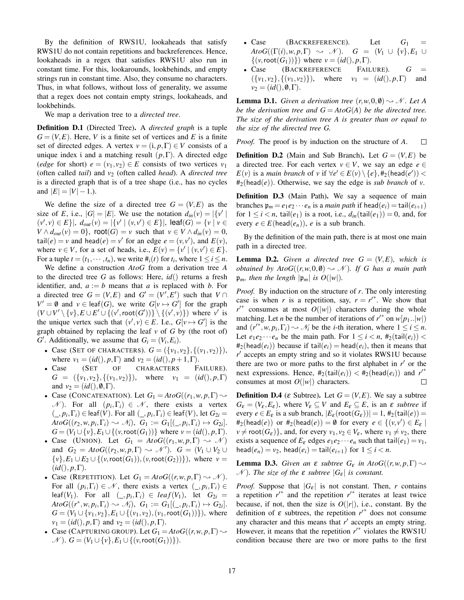By the definition of RWS1U, lookaheads that satisfy RWS1U do not contain repetitions and backreferences. Hence, lookaheads in a regex that satisfies RWS1U also run in constant time. For this, lookarounds, lookbehinds, and empty strings run in constant time. Also, they consume no characters. Thus, in what follows, without loss of generality, we assume that a regex does not contain empty strings, lookaheads, and lookbehinds.

We map a derivation tree to a *directed tree*.

Definition D.1 (Directed Tree). A *directed graph* is a tuple  $G = (V, E)$ . Here, *V* is a finite set of vertices and *E* is a finite set of directed edges. A vertex  $v = (i, p, \Gamma) \in V$  consists of a unique index i and a matching result  $(p, \Gamma)$ . A directed edge (*edge* for short)  $e = (v_1, v_2) \in E$  consists of two vertices  $v_1$ (often called *tail*) and *v*<sup>2</sup> (often called *head*). A *directed tree* is a directed graph that is of a tree shape (i.e., has no cycles and  $|E| = |V| - 1.$ ).

We define the size of a directed tree  $G = (V, E)$  as the size of *E*, i.e.,  $|G| = |E|$ . We use the notation  $d_{in}(v) = |\{v' \mid$  $(v', v) \in E$ ,  $d_{out}(v) = |\{v' \mid (v, v') \in E\}|$ ,  $\text{leaf}(G) = \{v \mid v \in E\}$  $V \wedge d_{out}(v) = 0$ , root $(G) = v$  such that  $v \in V \wedge d_{in}(v) = 0$ , tail $(e) = v$  and head $(e) = v'$  for an edge  $e = (v, v')$ , and  $E(v)$ , where  $v \in V$ , for a set of heads, i.e.,  $E(v) = \{v' \mid (v, v') \in E\}$ . For a tuple  $t = (t_1, \dots, t_n)$ , we write  $\#_i(t)$  for  $t_i$ , where  $1 \le i \le n$ .

We define a construction *AtoG* from a derivation tree *A* to the directed tree *G* as follows: Here, *id*() returns a fresh identifier, and,  $a := b$  means that *a* is replaced with *b*. For a directed tree  $G = (V, E)$  and  $G' = (V', E')$  such that  $V \cap$  $V' = \emptyset$  and  $v \in \text{leaf}(G)$ , we write  $G[v \mapsto G']$  for the graph  $(V \cup V' \setminus \{v\}, E \cup E' \cup \{ (v', \text{root}(G')) \} \setminus \{ (v', v) \})$  where *v*<sup>'</sup> is the unique vertex such that  $(v', v) \in E$ . I.e.,  $G[v \mapsto G']$  is the graph obtained by replacing the leaf *v* of *G* by (the root of) *G*<sup> $\prime$ </sup>. Additionally, we assume that  $G_i = (V_i, E_i)$ .

- Case (SET OF CHARACTERS).  $G = (\{v_1, v_2\}, \{(v_1, v_2)\})$ , where  $v_1 = (id(), p, \Gamma)$  and  $v_2 = (id(), p+1, \Gamma)$ .
- Case (SET OF CHARACTERS FAILURE).  $G = (\{v_1, v_2\}, \{(v_1, v_2)\})$ , where  $v_1 = (id(), p, \Gamma)$ and  $v_2 = (id(), \emptyset, \Gamma)$ .
- Case (CONCATENATION). Let  $G_1 = AtoG((r_1, w, p, \Gamma) \rightsquigarrow$  $N$ ). For all  $(p_i, \Gamma_i) \in N$ , there exists a vertex  $(L, p_i, \Gamma_i) \in \text{leaf}(V)$ . For all  $(L, p_i, \Gamma_i) \in \text{leaf}(V)$ , let  $G_{2i} =$  $AtoG((r_2,w,p_i,\Gamma_i) \rightsquigarrow \mathcal{N}_i), G_1 := G_1[(-,p_i,\Gamma_i) \mapsto G_{2i}].$ *G* =  $(V_1 \cup \{v\}, E_1 \cup \{(v, \text{root}(G_1))\}$  where  $v = (id(), p, \Gamma)$ .
- Case (UNION). Let  $G_1 = AtoG((r_1, w, p, \Gamma) \rightsquigarrow \mathcal{N})$ and  $G_2 = AtoG((r_2, w, p, \Gamma) \rightsquigarrow \mathcal{N}^{\prime}).$   $G = (V_1 \cup V_2 \cup$  $\{v\}$ ,  $E_1 \cup E_2 \cup \{(v, \text{root}(G_1)), (v, \text{root}(G_2))\})$ , where *v* =  $(id(), p, \Gamma).$
- Case (REPETITION). Let  $G_1 = AtoG((r, w, p, \Gamma) \rightsquigarrow \mathcal{N})$ . For all  $(p_i, \Gamma_i) \in \mathcal{N}$ , there exists a vertex  $( \_ , p_i, \Gamma_i) \in$  $\text{leaf}(V_1)$ . For all  $(\_, p_i, \Gamma_i) \in \text{leaf}(V_1)$ , let  $G_{2i} =$  $A$ *to***G**(( $r^*$ ,*w*,  $p_i$ ,  $\Gamma_i$ )  $\sim \mathcal{N}_i$ ),  $G_1 := G_1[(\_, p_i, \Gamma_i) \mapsto G_{2i}]$ . *G* = (*V*<sub>1</sub>∪{*v*<sub>1</sub>,*v*<sub>2</sub>},*E*<sub>1</sub>∪{(*v*<sub>1</sub>,*v*<sub>2</sub>),(*v*<sub>1</sub>,root(*G*<sub>1</sub>))}), where *v*<sub>1</sub> = (*id*(), *p*, Γ) and *v*<sub>2</sub> = (*id*(), *p*, Γ).
- Case (CAPTURING GROUP). Let  $G_1 = AtoG((r, w, p, \Gamma) \rightarrow$  $\mathcal{N}$ ). *G* = (*V*<sub>1</sub>∪{*v*}, *E*<sub>1</sub>∪{(*v*, root(*G*<sub>1</sub>))}).
- Case  $(BACKREFERENCES).$  Let  $G_1$  $AtoG((\Gamma(i), w, p, \Gamma) \rightsquigarrow \mathcal{N}).$  *G* =  $(V_1 \cup \{v\}, E_1 \cup$  $\{(v, \text{root}(G_1))\}\)$  where  $v = (id(), p, \Gamma)$ .
- Case (BACKREFERENCE FAILURE).  $G =$  $({v_1, v_2}, {v_1, v_2})$ , where  $v_1 = (id(), p, \Gamma)$  and  $v_2 = (id(), \emptyset, \Gamma).$

**Lemma D.1.** *Given a derivation tree*  $(r, w, 0, \emptyset) \rightarrow \mathcal{N}$ *. Let A be the derivation tree and*  $G = AtoG(A)$  *be the directed tree. The size of the derivation tree A is greater than or equal to the size of the directed tree G.*

*Proof.* The proof is by induction on the structure of *A*.  $\Box$ 

**Definition D.2** (Main and Sub Branch). Let  $G = (V, E)$  be a directed tree. For each vertex  $v \in V$ , we say an edge  $e \in$ *E*(*v*) is a *main branch* of *v* if  $\forall e' \in E(v) \setminus \{e\}, \#_2(\text{head}(e'))$  < #2(head(*e*)). Otherwise, we say the edge is *sub branch* of *v*.

Definition D.3 (Main Path). We say a sequence of main branches  $\mathfrak{p}_m = e_1 e_2 \cdots e_n$  is a *main path* if head( $e_i$ ) = tail( $e_{i+1}$ ) for  $1 \le i < n$ , tail( $e_1$ ) is a root, i.e.,  $d_{in}(\text{tail}(e_1)) = 0$ , and, for every  $e \in E(\text{head}(e_n))$ , *e* is a sub branch.

By the definition of the main path, there is at most one main path in a directed tree.

**Lemma D.2.** *Given a directed tree*  $G = (V, E)$ *, which is obtained by AtoG* $((r, w, 0, \emptyset) \rightsquigarrow \mathcal{N})$ *. If G has a main path*  $\mathfrak{p}_m$ *, then the length*  $|\mathfrak{p}_m|$  *is O*(|*w*|)*.* 

*Proof.* By induction on the structure of *r*. The only interesting case is when *r* is a repetition, say,  $r = r^{r*}$ . We show that  $r'^*$  consumes at most  $O(|w|)$  characters during the whole matching. Let *n* be the number of iterations of  $r^*$  on  $w[p_1..|w]$ and  $(r^{i*}, w, p_i, \Gamma_i) \sim \mathcal{N}_i$  be the *i*-th iteration, where  $1 \le i \le n$ . Let  $e_1e_2\cdots e_n$  be the main path. For  $1 \leq i < n$ ,  $\#_2(\text{tail}(e_i)) <$  $#_2$ (head( $e_i$ )) because if tail( $e_i$ ) = head( $e_i$ ), then it means that *r* ′ accepts an empty string and so it violates RWS1U because there are two or more paths to the first alphabet in  $r'$  or the next expressions. Hence,  $#_2(\text{tail}(e_i)) < #_2(\text{head}(e_i))$  and  $r'^*$ consumes at most  $O(|w|)$  characters.  $\Box$ 

**Definition D.4** ( $\varepsilon$  Subtree). Let  $G = (V, E)$ . We say a subtree  $G_{\varepsilon} = (V_{\varepsilon}, E_{\varepsilon})$ , where  $V_{\varepsilon} \subseteq V$  and  $E_{\varepsilon} \subseteq E$ , is an  $\varepsilon$  *subtree* if every  $e \in E_{\varepsilon}$  is a sub branch,  $|E_{\varepsilon}(\text{root}(G_{\varepsilon}))| = 1$ ,  $\#_2(\text{tail}(e)) =$  $#_2(\text{head}(e))$  or  $#_2(\text{head}(e)) = \emptyset$  for every  $e \in \{(v, v') \in E_{\varepsilon} \mid$  $v \neq \text{root}(G_{\varepsilon})\}$ , and, for every  $v_1, v_2 \in V_{\varepsilon}$ , where  $v_1 \neq v_2$ , there exists a sequence of  $E_{\varepsilon}$  edges  $e_1e_2 \cdots e_n$  such that tail $(e_1) = v_1$ , head( $e_n$ ) =  $v_2$ , head( $e_i$ ) = tail( $e_{i+1}$ ) for  $1 \leq i < n$ .

**Lemma D.3.** Given an **ε** *subtree*  $G_{\varepsilon}$  *in AtoG*((*r*,*w*, *p*, Γ)  $\sim$  $\mathcal{N}$ ). The size of the  $\varepsilon$  *subtree*  $|G_{\varepsilon}|$  *is constant.* 

*Proof.* Suppose that  $|G_{\varepsilon}|$  is not constant. Then, *r* contains a repetition  $r'^*$  and the repetition  $r'^*$  iterates at least twice because, if not, then the size is  $O(|r|)$ , i.e., constant. By the definition of  $\varepsilon$  subtrees, the repetition  $r'^*$  does not consume any character and this means that  $r'$  accepts an empty string. However, it means that the repetition  $r'^*$  violates the RWS1U condition because there are two or more paths to the first